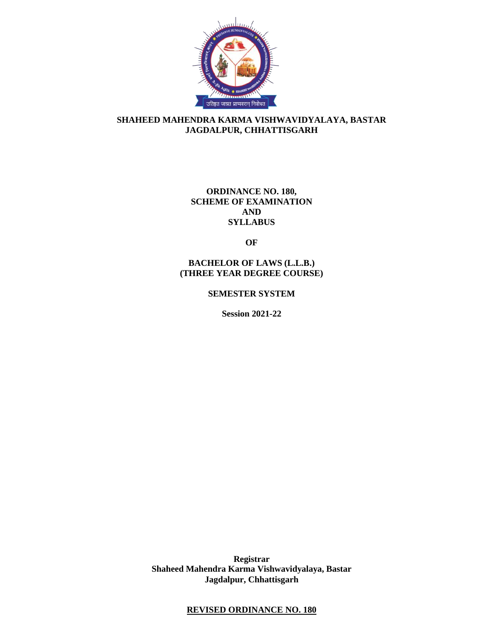

## **SHAHEED MAHENDRA KARMA VISHWAVIDYALAYA, BASTAR JAGDALPUR, CHHATTISGARH**

## **ORDINANCE NO. 180, SCHEME OF EXAMINATION AND SYLLABUS**

**OF**

**BACHELOR OF LAWS (L.L.B.) (THREE YEAR DEGREE COURSE)**

**SEMESTER SYSTEM** 

**Session 2021-22**

**Registrar Shaheed Mahendra Karma Vishwavidyalaya, Bastar Jagdalpur, Chhattisgarh**

## **REVISED ORDINANCE NO. 180**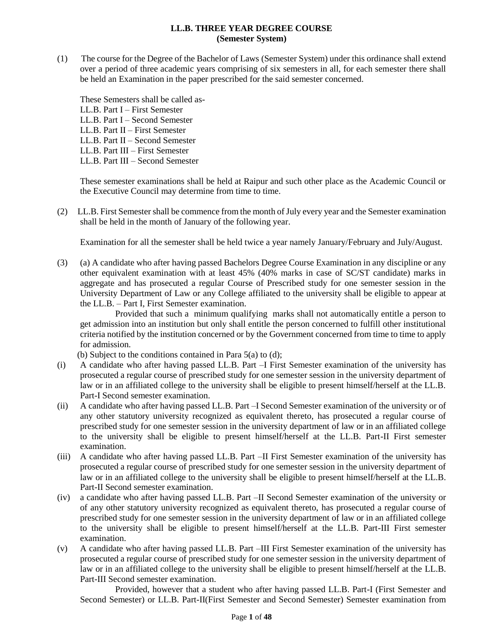### **LL.B. THREE YEAR DEGREE COURSE (Semester System)**

(1) The course for the Degree of the Bachelor of Laws (Semester System) under this ordinance shall extend over a period of three academic years comprising of six semesters in all, for each semester there shall be held an Examination in the paper prescribed for the said semester concerned.

These Semesters shall be called as-LL.B. Part I – First Semester

- LL.B. Part I Second Semester
- LL.B. Part II First Semester
- LL.B. Part II Second Semester
- LL.B. Part III First Semester
- LL.B. Part III Second Semester

These semester examinations shall be held at Raipur and such other place as the Academic Council or the Executive Council may determine from time to time.

(2) LL.B. First Semester shall be commence from the month of July every year and the Semester examination shall be held in the month of January of the following year.

Examination for all the semester shall be held twice a year namely January/February and July/August.

(3) (a) A candidate who after having passed Bachelors Degree Course Examination in any discipline or any other equivalent examination with at least 45% (40% marks in case of SC/ST candidate) marks in aggregate and has prosecuted a regular Course of Prescribed study for one semester session in the University Department of Law or any College affiliated to the university shall be eligible to appear at the LL.B. – Part I, First Semester examination.

Provided that such a minimum qualifying marks shall not automatically entitle a person to get admission into an institution but only shall entitle the person concerned to fulfill other institutional criteria notified by the institution concerned or by the Government concerned from time to time to apply for admission.

(b) Subject to the conditions contained in Para 5(a) to (d);

- (i) A candidate who after having passed LL.B. Part –I First Semester examination of the university has prosecuted a regular course of prescribed study for one semester session in the university department of law or in an affiliated college to the university shall be eligible to present himself/herself at the LL.B. Part-I Second semester examination.
- (ii) A candidate who after having passed LL.B. Part –I Second Semester examination of the university or of any other statutory university recognized as equivalent thereto, has prosecuted a regular course of prescribed study for one semester session in the university department of law or in an affiliated college to the university shall be eligible to present himself/herself at the LL.B. Part-II First semester examination.
- (iii) A candidate who after having passed LL.B. Part –II First Semester examination of the university has prosecuted a regular course of prescribed study for one semester session in the university department of law or in an affiliated college to the university shall be eligible to present himself/herself at the LL.B. Part-II Second semester examination.
- (iv) a candidate who after having passed LL.B. Part –II Second Semester examination of the university or of any other statutory university recognized as equivalent thereto, has prosecuted a regular course of prescribed study for one semester session in the university department of law or in an affiliated college to the university shall be eligible to present himself/herself at the LL.B. Part-III First semester examination.
- (v) A candidate who after having passed LL.B. Part –III First Semester examination of the university has prosecuted a regular course of prescribed study for one semester session in the university department of law or in an affiliated college to the university shall be eligible to present himself/herself at the LL.B. Part-III Second semester examination.

Provided, however that a student who after having passed LL.B. Part-I (First Semester and Second Semester) or LL.B. Part-II(First Semester and Second Semester) Semester examination from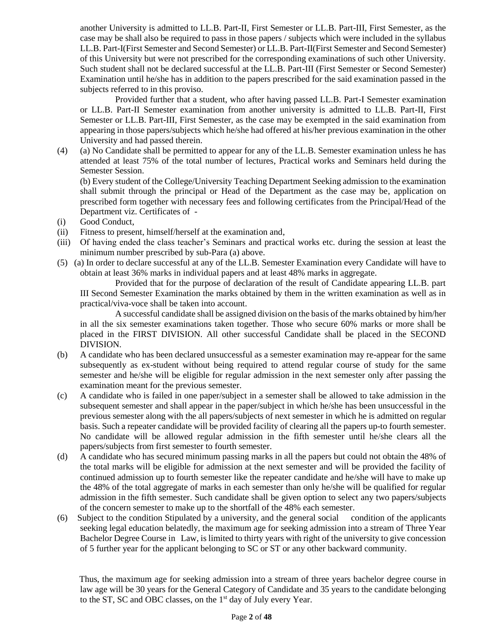another University is admitted to LL.B. Part-II, First Semester or LL.B. Part-III, First Semester, as the case may be shall also be required to pass in those papers / subjects which were included in the syllabus LL.B. Part-I(First Semester and Second Semester) or LL.B. Part-II(First Semester and Second Semester) of this University but were not prescribed for the corresponding examinations of such other University. Such student shall not be declared successful at the LL.B. Part-III (First Semester or Second Semester) Examination until he/she has in addition to the papers prescribed for the said examination passed in the subjects referred to in this proviso.

Provided further that a student, who after having passed LL.B. Part-I Semester examination or LL.B. Part-II Semester examination from another university is admitted to LL.B. Part-II, First Semester or LL.B. Part-III, First Semester, as the case may be exempted in the said examination from appearing in those papers/subjects which he/she had offered at his/her previous examination in the other University and had passed therein.

(4) (a) No Candidate shall be permitted to appear for any of the LL.B. Semester examination unless he has attended at least 75% of the total number of lectures, Practical works and Seminars held during the Semester Session.

(b) Every student of the College/University Teaching Department Seeking admission to the examination shall submit through the principal or Head of the Department as the case may be, application on prescribed form together with necessary fees and following certificates from the Principal/Head of the Department viz. Certificates of -

- (i) Good Conduct,
- (ii) Fitness to present, himself/herself at the examination and,
- (iii) Of having ended the class teacher's Seminars and practical works etc. during the session at least the minimum number prescribed by sub-Para (a) above.
- (5) (a) In order to declare successful at any of the LL.B. Semester Examination every Candidate will have to obtain at least 36% marks in individual papers and at least 48% marks in aggregate.

Provided that for the purpose of declaration of the result of Candidate appearing LL.B. part III Second Semester Examination the marks obtained by them in the written examination as well as in practical/viva-voce shall be taken into account.

A successful candidate shall be assigned division on the basis of the marks obtained by him/her in all the six semester examinations taken together. Those who secure 60% marks or more shall be placed in the FIRST DIVISION. All other successful Candidate shall be placed in the SECOND DIVISION.

- (b) A candidate who has been declared unsuccessful as a semester examination may re-appear for the same subsequently as ex-student without being required to attend regular course of study for the same semester and he/she will be eligible for regular admission in the next semester only after passing the examination meant for the previous semester.
- (c) A candidate who is failed in one paper/subject in a semester shall be allowed to take admission in the subsequent semester and shall appear in the paper/subject in which he/she has been unsuccessful in the previous semester along with the all papers/subjects of next semester in which he is admitted on regular basis. Such a repeater candidate will be provided facility of clearing all the papers up-to fourth semester. No candidate will be allowed regular admission in the fifth semester until he/she clears all the papers/subjects from first semester to fourth semester.
- (d) A candidate who has secured minimum passing marks in all the papers but could not obtain the 48% of the total marks will be eligible for admission at the next semester and will be provided the facility of continued admission up to fourth semester like the repeater candidate and he/she will have to make up the 48% of the total aggregate of marks in each semester than only he/she will be qualified for regular admission in the fifth semester. Such candidate shall be given option to select any two papers/subjects of the concern semester to make up to the shortfall of the 48% each semester.
- (6) Subject to the condition Stipulated by a university, and the general social condition of the applicants seeking legal education belatedly, the maximum age for seeking admission into a stream of Three Year Bachelor Degree Course in Law, is limited to thirty years with right of the university to give concession of 5 further year for the applicant belonging to SC or ST or any other backward community.

 Thus, the maximum age for seeking admission into a stream of three years bachelor degree course in law age will be 30 years for the General Category of Candidate and 35 years to the candidate belonging to the ST, SC and OBC classes, on the 1<sup>st</sup> day of July every Year.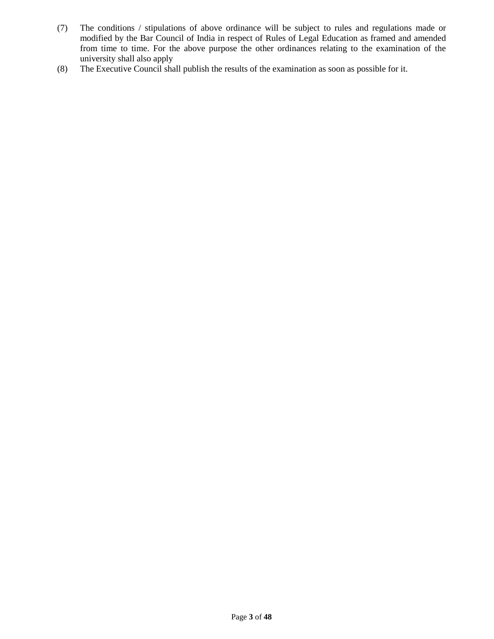- (7) The conditions / stipulations of above ordinance will be subject to rules and regulations made or modified by the Bar Council of India in respect of Rules of Legal Education as framed and amended from time to time. For the above purpose the other ordinances relating to the examination of the university shall also apply
- (8) The Executive Council shall publish the results of the examination as soon as possible for it.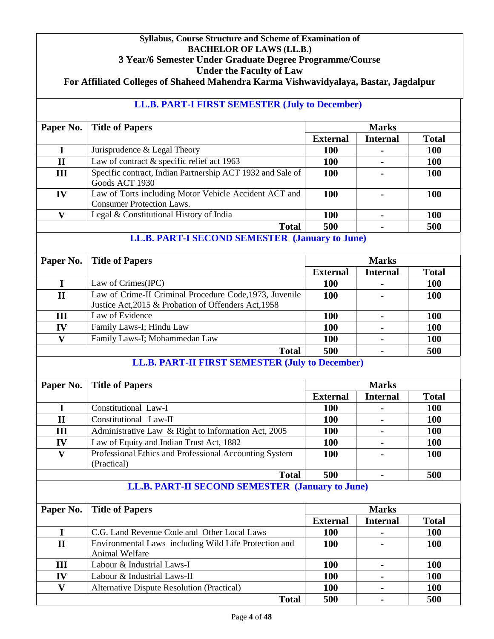# **Syllabus, Course Structure and Scheme of Examination of BACHELOR OF LAWS (LL.B.) 3 Year/6 Semester Under Graduate Degree Programme/Course Under the Faculty of Law For Affiliated Colleges of Shaheed Mahendra Karma Vishwavidyalaya, Bastar, Jagdalpur LL.B. PART-I FIRST SEMESTER (July to December) Paper No.** Title of Papers Marks **External Internal Total I** Jurisprudence & Legal Theory **100 - 100 II** Law of contract & specific relief act 1963 **100 - 100 III** Specific contract, Indian Partnership ACT 1932 and Sale of Goods ACT 1930 **100 - 100 IV** Law of Torts including Motor Vehicle Accident ACT and Consumer Protection Laws. **100 - 100 V** Legal & Constitutional History of India **100 - 100 Total 500 - 500 LL.B. PART-I SECOND SEMESTER (January to June) Paper No.** Title of Papers Marks **External Internal Total I** Law of Crimes(IPC) **100 - 100 II** Law of Crime-II Criminal Procedure Code,1973, Juvenile Justice Act,2015 & Probation of Offenders Act,1958 **100 - 100 III** Law of Evidence **100 - 100 IV** Family Laws-I; Hindu Law **100 - 100 V** Family Laws-I; Mohammedan Law **100 - 100 Total 500 - 500 LL.B. PART-II FIRST SEMESTER (July to December) Paper No.** Title of Papers Marks **External Internal Total I** Constitutional Law-I **100 - 100 II** Constitutional Law-II **100 - 100 III** Administrative Law & Right to Information Act, 2005 **100 - 100 IV** Law of Equity and Indian Trust Act, 1882 **100 - 100 V** Professional Ethics and Professional Accounting System (Practical) **100 - 100 Total 500 - 500 LL.B. PART-II SECOND SEMESTER (January to June) Paper No.** Title of Papers Marks **External Internal Total I** C.G. Land Revenue Code and Other Local Laws **100 - 100 II** Environmental Laws including Wild Life Protection and Animal Welfare **100 - 100 III** Labour & Industrial Laws-I **100 - 100 IV** Labour & Industrial Laws-II **100 - 100 V** Alternative Dispute Resolution (Practical) **100 - 100 Total 500 - 500**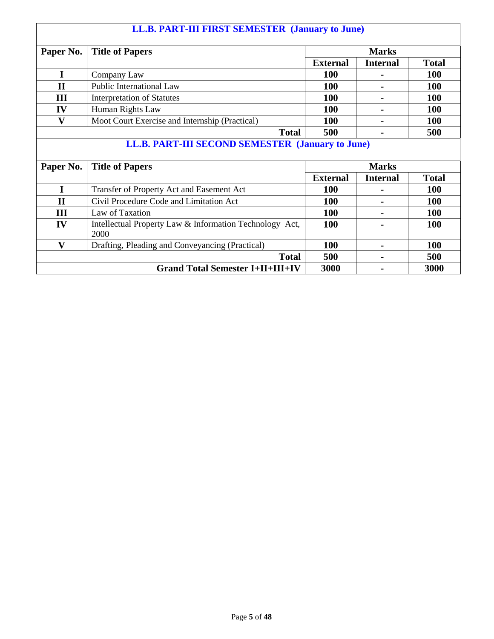# **LL.B. PART-III FIRST SEMESTER (January to June) Paper No.** Title of Papers Marks **External Internal Total I** Company Law **100 - 100 II** Public International Law **100 - 100 III** Interpretation of Statutes **100 - 100 IV** Human Rights Law **100 - 100 V** Moot Court Exercise and Internship (Practical) **100 - 100 Total 500 - 500 LL.B. PART-III SECOND SEMESTER (January to June) Paper No.** Title of Papers Marks **External Internal Total I** Transfer of Property Act and Easement Act **100 - 100 II** Civil Procedure Code and Limitation Act **100 - 100 III** Law of Taxation **100 - 100 IV** Intellectual Property Law & Information Technology Act, 2000 **100 - 100 V** Drafting, Pleading and Conveyancing (Practical) **100 - 100 Total 500 - 500 Grand Total Semester I+II+III+IV 3000 - 3000**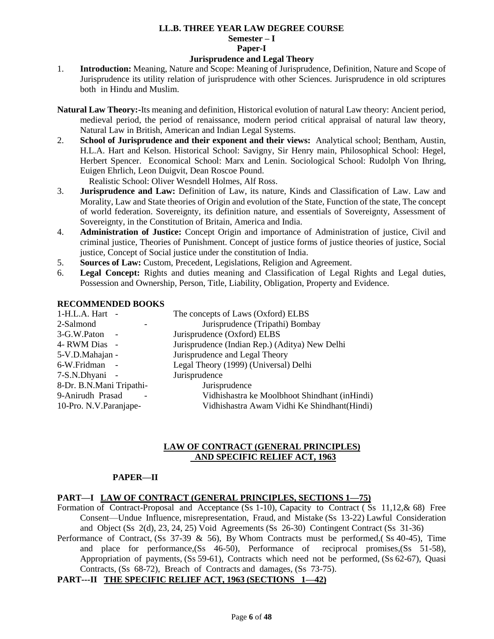# **LL.B. THREE YEAR LAW DEGREE COURSE Semester – I Paper-I**

## **Jurisprudence and Legal Theory**

- 1. **Introduction:** Meaning, Nature and Scope: Meaning of Jurisprudence, Definition, Nature and Scope of Jurisprudence its utility relation of jurisprudence with other Sciences. Jurisprudence in old scriptures both in Hindu and Muslim.
- **Natural Law Theory:-**Its meaning and definition, Historical evolution of natural Law theory: Ancient period, medieval period, the period of renaissance, modern period critical appraisal of natural law theory, Natural Law in British, American and Indian Legal Systems.
- 2. **School of Jurisprudence and their exponent and their views:** Analytical school; Bentham, Austin, H.L.A. Hart and Kelson. Historical School: Savigny, Sir Henry main, Philosophical School: Hegel, Herbert Spencer. Economical School: Marx and Lenin. Sociological School: Rudolph Von Ihring, Euigen Ehrlich, Leon Duigvit, Dean Roscoe Pound.

Realistic School: Oliver Wesndell Holmes, Alf Ross.

- 3. **Jurisprudence and Law:** Definition of Law, its nature, Kinds and Classification of Law. Law and Morality, Law and State theories of Origin and evolution of the State, Function of the state, The concept of world federation. Sovereignty, its definition nature, and essentials of Sovereignty, Assessment of Sovereignty, in the Constitution of Britain, America and India.
- 4. **Administration of Justice:** Concept Origin and importance of Administration of justice, Civil and criminal justice, Theories of Punishment. Concept of justice forms of justice theories of justice, Social justice, Concept of Social justice under the constitution of India.
- 5. **Sources of Law:** Custom, Precedent, Legislations, Religion and Agreement.
- 6. **Legal Concept:** Rights and duties meaning and Classification of Legal Rights and Legal duties, Possession and Ownership, Person, Title, Liability, Obligation, Property and Evidence.

## **RECOMMENDED BOOKS**

| 1-H.L.A. Hart -          | The concepts of Laws (Oxford) ELBS             |
|--------------------------|------------------------------------------------|
| 2-Salmond                | Jurisprudence (Tripathi) Bombay                |
| 3-G.W.Paton              | Jurisprudence (Oxford) ELBS                    |
| 4- RWM Dias -            | Jurisprudence (Indian Rep.) (Aditya) New Delhi |
| 5-V.D.Mahajan -          | Jurisprudence and Legal Theory                 |
| 6-W.Fridman              | Legal Theory (1999) (Universal) Delhi          |
| 7-S.N.Dhyani -           | Jurisprudence                                  |
| 8-Dr. B.N.Mani Tripathi- | Jurisprudence                                  |
| 9-Anirudh Prasad         | Vidhishastra ke Moolbhoot Shindhant (inHindi)  |
| 10-Pro. N.V. Paranjape-  | Vidhishastra Awam Vidhi Ke Shindhant(Hindi)    |
|                          |                                                |

## **LAW OF CONTRACT (GENERAL PRINCIPLES) AND SPECIFIC RELIEF ACT, 1963**

### **PAPER—II**

## **PART—I LAW OF CONTRACT (GENERAL PRINCIPLES, SECTIONS 1—75)**

Formation of Contract-Proposal and Acceptance (Ss 1-10), Capacity to Contract ( Ss 11,12,& 68) Free Consent—Undue Influence, misrepresentation, Fraud, and Mistake (Ss 13-22) Lawful Consideration and Object (Ss 2(d), 23, 24, 25) Void Agreements (Ss 26-30) Contingent Contract (Ss 31-36)

Performance of Contract, (Ss 37-39  $\&$  56), By Whom Contracts must be performed, (Ss 40-45), Time and place for performance,(Ss 46-50), Performance of reciprocal promises,(Ss 51-58), Appropriation of payments, (Ss 59-61), Contracts which need not be performed, (Ss 62-67), Quasi Contracts, (Ss 68-72), Breach of Contracts and damages, (Ss 73-75).

### **PART---II THE SPECIFIC RELIEF ACT, 1963 (SECTIONS 1—42)**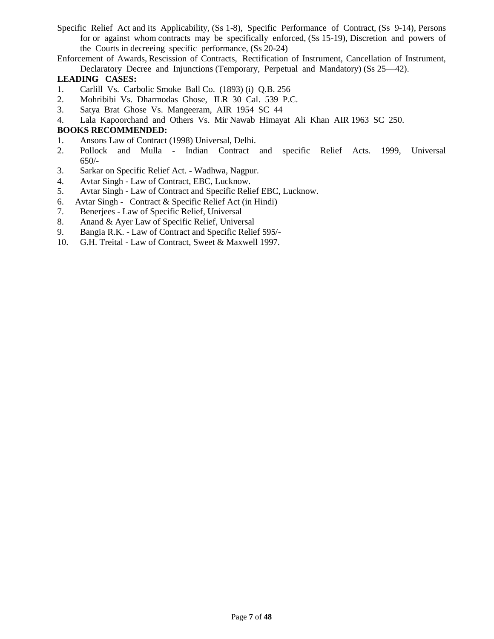- Specific Relief Act and its Applicability, (Ss 1-8), Specific Performance of Contract, (Ss 9-14), Persons for or against whom contracts may be specifically enforced, (Ss 15-19), Discretion and powers of the Courts in decreeing specific performance, (Ss 20-24)
- Enforcement of Awards, Rescission of Contracts, Rectification of Instrument, Cancellation of Instrument, Declaratory Decree and Injunctions (Temporary, Perpetual and Mandatory) (Ss 25—42).

## **LEADING CASES:**

- 1. Carlill Vs. Carbolic Smoke Ball Co. (1893) (i) Q.B. 256
- 2. Mohribibi Vs. Dharmodas Ghose, ILR 30 Cal. 539 P.C.
- 3. Satya Brat Ghose Vs. Mangeeram, AIR 1954 SC 44
- 4. Lala Kapoorchand and Others Vs. Mir Nawab Himayat Ali Khan AIR 1963 SC 250.

## **BOOKS RECOMMENDED:**

- 1. Ansons Law of Contract (1998) Universal, Delhi.
- 2. Pollock and Mulla Indian Contract and specific Relief Acts. 1999, Universal 650/-
- 3. Sarkar on Specific Relief Act. Wadhwa, Nagpur.
- 4. Avtar Singh Law of Contract, EBC, Lucknow.
- 5. Avtar Singh Law of Contract and Specific Relief EBC, Lucknow.
- 6. Avtar Singh Contract & Specific Relief Act (in Hindi)
- 7. Benerjees Law of Specific Relief, Universal
- 8. Anand & Ayer Law of Specific Relief, Universal
- 9. Bangia R.K. Law of Contract and Specific Relief 595/-
- 10. G.H. Treital Law of Contract, Sweet & Maxwell 1997.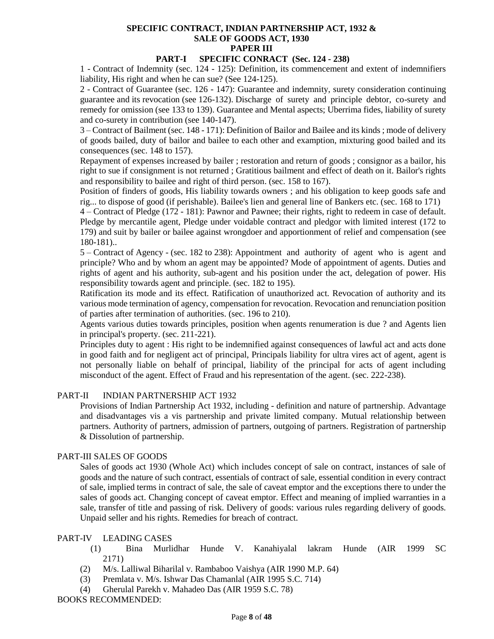## **SPECIFIC CONTRACT, INDIAN PARTNERSHIP ACT, 1932 & SALE OF GOODS ACT, 1930 PAPER III**

## **PART-I SPECIFIC CONRACT (Sec. 124 - 238)**

1 - Contract of Indemnity (sec. 124 - 125): Definition, its commencement and extent of indemnifiers liability, His right and when he can sue? (See 124-125).

2 - Contract of Guarantee (sec. 126 - 147): Guarantee and indemnity, surety consideration continuing guarantee and its revocation (see 126-132). Discharge of surety and principle debtor, co-surety and remedy for omission (see 133 to 139). Guarantee and Mental aspects; Uberrima fides, liability of surety and co-surety in contribution (see 140-147).

3 – Contract of Bailment (sec. 148 - 171): Definition of Bailor and Bailee and its kinds ; mode of delivery of goods bailed, duty of bailor and bailee to each other and examption, mixturing good bailed and its consequences (sec. 148 to 157).

 Repayment of expenses increased by bailer ; restoration and return of goods ; consignor as a bailor, his right to sue if consignment is not returned ; Gratitious bailment and effect of death on it. Bailor's rights and responsibility to bailee and right of third person. (sec. 158 to 167).

Position of finders of goods, His liability towards owners ; and his obligation to keep goods safe and rig... to dispose of good (if perishable). Bailee's lien and general line of Bankers etc. (sec. 168 to 171)

4 – Contract of Pledge (172 - 181): Pawnor and Pawnee; their rights, right to redeem in case of default. Pledge by mercantile agent, Pledge under voidable contract and pledgor with limited interest (172 to 179) and suit by bailer or bailee against wrongdoer and apportionment of relief and compensation (see 180-181)..

5 – Contract of Agency - (sec. 182 to 238): Appointment and authority of agent who is agent and principle? Who and by whom an agent may be appointed? Mode of appointment of agents. Duties and rights of agent and his authority, sub-agent and his position under the act, delegation of power. His responsibility towards agent and principle. (sec. 182 to 195).

Ratification its mode and its effect. Ratification of unauthorized act. Revocation of authority and its various mode termination of agency, compensation for revocation. Revocation and renunciation position of parties after termination of authorities. (sec. 196 to 210).

Agents various duties towards principles, position when agents renumeration is due ? and Agents lien in principal's property. (sec. 211-221).

Principles duty to agent : His right to be indemnified against consequences of lawful act and acts done in good faith and for negligent act of principal, Principals liability for ultra vires act of agent, agent is not personally liable on behalf of principal, liability of the principal for acts of agent including misconduct of the agent. Effect of Fraud and his representation of the agent. (sec. 222-238).

## PART-II INDIAN PARTNERSHIP ACT 1932

Provisions of Indian Partnership Act 1932, including - definition and nature of partnership. Advantage and disadvantages vis a vis partnership and private limited company. Mutual relationship between partners. Authority of partners, admission of partners, outgoing of partners. Registration of partnership & Dissolution of partnership.

## PART-III SALES OF GOODS

Sales of goods act 1930 (Whole Act) which includes concept of sale on contract, instances of sale of goods and the nature of such contract, essentials of contract of sale, essential condition in every contract of sale, implied terms in contract of sale, the sale of caveat emptor and the exceptions there to under the sales of goods act. Changing concept of caveat emptor. Effect and meaning of implied warranties in a sale, transfer of title and passing of risk. Delivery of goods: various rules regarding delivery of goods. Unpaid seller and his rights. Remedies for breach of contract.

### PART-IV LEADING CASES

- (1) Bina Murlidhar Hunde V. Kanahiyalal lakram Hunde (AIR 1999 SC 2171)
- (2) M/s. Lalliwal Biharilal v. Rambaboo Vaishya (AIR 1990 M.P. 64)
- (3) Premlata v. M/s. Ishwar Das Chamanlal (AIR 1995 S.C. 714)
- (4) Gherulal Parekh v. Mahadeo Das (AIR 1959 S.C. 78)

BOOKS RECOMMENDED: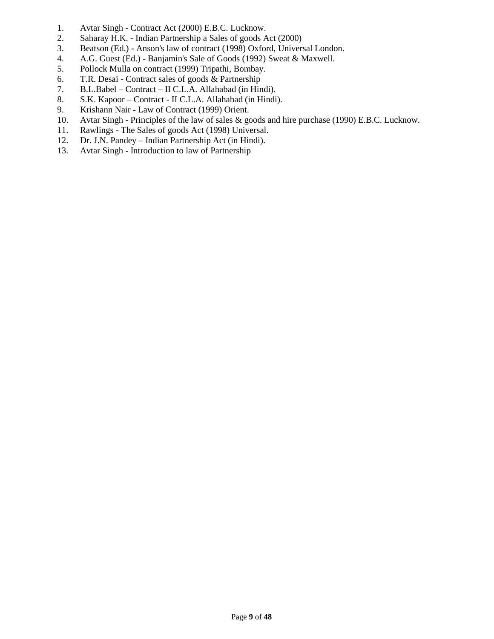- 1. Avtar Singh Contract Act (2000) E.B.C. Lucknow.
- 2. Saharay H.K. Indian Partnership a Sales of goods Act (2000)
- 3. Beatson (Ed.) Anson's law of contract (1998) Oxford, Universal London.
- 4. A.G. Guest (Ed.) Banjamin's Sale of Goods (1992) Sweat & Maxwell.
- 5. Pollock Mulla on contract (1999) Tripathi, Bombay.
- 6. T.R. Desai Contract sales of goods & Partnership
- 7. B.L.Babel Contract II C.L.A. Allahabad (in Hindi).
- 8. S.K. Kapoor Contract II C.L.A. Allahabad (in Hindi).
- 9. Krishann Nair Law of Contract (1999) Orient.
- 10. Avtar Singh Principles of the law of sales & goods and hire purchase (1990) E.B.C. Lucknow.
- 11. Rawlings The Sales of goods Act (1998) Universal.
- 12. Dr. J.N. Pandey Indian Partnership Act (in Hindi).
- 13. Avtar Singh Introduction to law of Partnership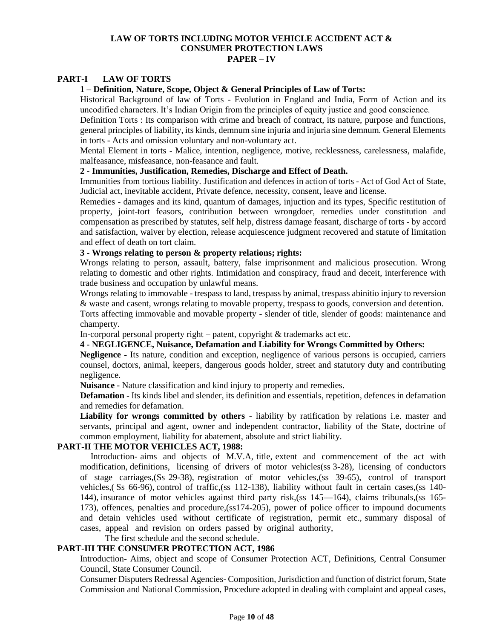#### **LAW OF TORTS INCLUDING MOTOR VEHICLE ACCIDENT ACT & CONSUMER PROTECTION LAWS PAPER – IV**

#### **PART-I LAW OF TORTS**

### **1 – Definition, Nature, Scope, Object & General Principles of Law of Torts:**

Historical Background of law of Torts - Evolution in England and India, Form of Action and its uncodified characters. It's Indian Origin from the principles of equity justice and good conscience.

Definition Torts : Its comparison with crime and breach of contract, its nature, purpose and functions, general principles of liability, its kinds, demnum sine injuria and injuria sine demnum. General Elements in torts - Acts and omission voluntary and non-voluntary act.

Mental Element in torts - Malice, intention, negligence, motive, recklessness, carelessness, malafide, malfeasance, misfeasance, non-feasance and fault.

## **2 - Immunities, Justification, Remedies, Discharge and Effect of Death.**

Immunities from tortious liability. Justification and defences in action of torts - Act of God Act of State, Judicial act, inevitable accident, Private defence, necessity, consent, leave and license.

Remedies - damages and its kind, quantum of damages, injuction and its types, Specific restitution of property, joint-tort feasors, contribution between wrongdoer, remedies under constitution and compensation as prescribed by statutes, self help, distress damage feasant, discharge of torts - by accord and satisfaction, waiver by election, release acquiescence judgment recovered and statute of limitation and effect of death on tort claim.

#### **3 - Wrongs relating to person & property relations; rights:**

Wrongs relating to person, assault, battery, false imprisonment and malicious prosecution. Wrong relating to domestic and other rights. Intimidation and conspiracy, fraud and deceit, interference with trade business and occupation by unlawful means.

Wrongs relating to immovable - trespass to land, trespass by animal, trespass abinitio injury to reversion & waste and casent, wrongs relating to movable property, trespass to goods, conversion and detention. Torts affecting immovable and movable property - slender of title, slender of goods: maintenance and champerty.

In-corporal personal property right – patent, copyright & trademarks act etc.

### **4 - NEGLIGENCE, Nuisance, Defamation and Liability for Wrongs Committed by Others:**

**Negligence -** Its nature, condition and exception, negligence of various persons is occupied, carriers counsel, doctors, animal, keepers, dangerous goods holder, street and statutory duty and contributing negligence.

**Nuisance -** Nature classification and kind injury to property and remedies.

**Defamation -** Its kinds libel and slender, its definition and essentials, repetition, defences in defamation and remedies for defamation.

**Liability for wrongs committed by others** - liability by ratification by relations i.e. master and servants, principal and agent, owner and independent contractor, liability of the State, doctrine of common employment, liability for abatement, absolute and strict liability.

#### **PART-II THE MOTOR VEHICLES ACT, 1988:**

Introduction- aims and objects of M.V.A, title, extent and commencement of the act with modification, definitions, licensing of drivers of motor vehicles(ss 3-28), licensing of conductors of stage carriages,(Ss 29-38), registration of motor vehicles,(ss 39-65), control of transport vehicles,( Ss 66-96), control of traffic,(ss 112-138), liability without fault in certain cases,(ss 140- 144), insurance of motor vehicles against third party risk,(ss 145—164), claims tribunals,(ss 165- 173), offences, penalties and procedure,(ss174-205), power of police officer to impound documents and detain vehicles used without certificate of registration, permit etc., summary disposal of cases, appeal and revision on orders passed by original authority,

The first schedule and the second schedule.

## **PART-III THE CONSUMER PROTECTION ACT, 1986**

Introduction- Aims, object and scope of Consumer Protection ACT, Definitions, Central Consumer Council, State Consumer Council.

Consumer Disputers Redressal Agencies- Composition, Jurisdiction and function of district forum, State Commission and National Commission, Procedure adopted in dealing with complaint and appeal cases,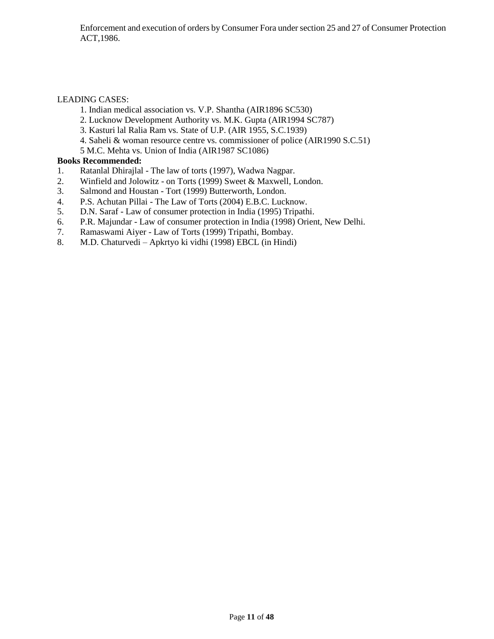## LEADING CASES:

- 1. Indian medical association vs. V.P. Shantha (AIR1896 SC530)
- 2. Lucknow Development Authority vs. M.K. Gupta (AIR1994 SC787)
- 3. Kasturi lal Ralia Ram vs. State of U.P. (AIR 1955, S.C.1939)
- 4. Saheli & woman resource centre vs. commissioner of police (AIR1990 S.C.51)
- 5 M.C. Mehta vs. Union of India (AIR1987 SC1086)

## **Books Recommended:**

- 1. Ratanlal Dhirajlal The law of torts (1997), Wadwa Nagpar.
- 2. Winfield and Jolowitz on Torts (1999) Sweet & Maxwell, London.
- 3. Salmond and Houstan Tort (1999) Butterworth, London.
- 4. P.S. Achutan Pillai The Law of Torts (2004) E.B.C. Lucknow.
- 5. D.N. Saraf Law of consumer protection in India (1995) Tripathi.
- 6. P.R. Majundar Law of consumer protection in India (1998) Orient, New Delhi.
- 7. Ramaswami Aiyer Law of Torts (1999) Tripathi, Bombay.
- 8. M.D. Chaturvedi Apkrtyo ki vidhi (1998) EBCL (in Hindi)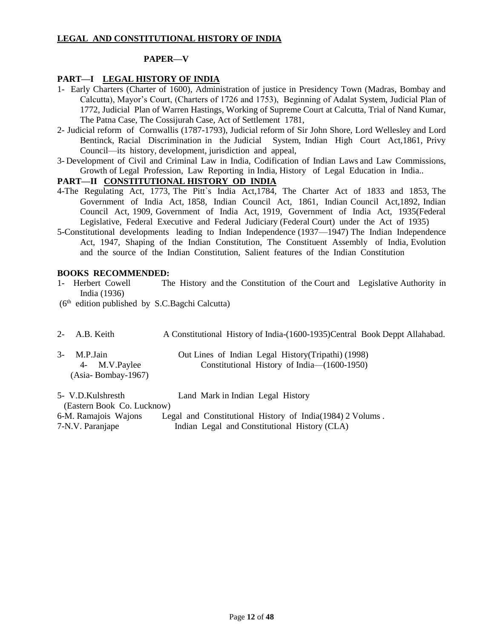## **LEGAL AND CONSTITUTIONAL HISTORY OF INDIA**

#### **PAPER—V**

### **PART—I LEGAL HISTORY OF INDIA**

- 1- Early Charters (Charter of 1600), Administration of justice in Presidency Town (Madras, Bombay and Calcutta), Mayor's Court, (Charters of 1726 and 1753), Beginning of Adalat System, Judicial Plan of 1772, Judicial Plan of Warren Hastings, Working of Supreme Court at Calcutta, Trial of Nand Kumar, The Patna Case, The Cossijurah Case, Act of Settlement 1781,
- 2- Judicial reform of Cornwallis (1787-1793), Judicial reform of Sir John Shore, Lord Wellesley and Lord Bentinck, Racial Discrimination in the Judicial System, Indian High Court Act,1861, Privy Council—its history, development, jurisdiction and appeal,
- 3- Development of Civil and Criminal Law in India, Codification of Indian Laws and Law Commissions, Growth of Legal Profession, Law Reporting in India, History of Legal Education in India..

# **PART—II CONSTITUTIONAL HISTORY OD INDIA**

- 4-The Regulating Act, 1773, The Pitt`s India Act,1784, The Charter Act of 1833 and 1853, The Government of India Act, 1858, Indian Council Act, 1861, Indian Council Act,1892, Indian Council Act, 1909, Government of India Act, 1919, Government of India Act, 1935(Federal Legislative, Federal Executive and Federal Judiciary (Federal Court) under the Act of 1935)
- 5-Constitutional developments leading to Indian Independence (1937—1947) The Indian Independence Act, 1947, Shaping of the Indian Constitution, The Constituent Assembly of India, Evolution and the source of the Indian Constitution, Salient features of the Indian Constitution

### **BOOKS RECOMMENDED:**

- 1- Herbert Cowell The History and the Constitution of the Court and Legislative Authority in India (1936)
- (6<sup>th</sup> edition published by S.C.Bagchi Calcutta)
- 2- A.B. Keith A Constitutional History of India-(1600-1935)Central Book Deppt Allahabad. 3- M.P.Jain Out Lines of Indian Legal History(Tripathi) (1998) 4- M.V.Paylee Constitutional History of India—(1600-1950) (Asia- Bombay-1967)
- 5- V.D.Kulshresth Land Mark in Indian Legal History (Eastern Book Co. Lucknow) 6-M. Ramajois Wajons Legal and Constitutional History of India(1984) 2 Volums . 7-N.V. Paranjape Indian Legal and Constitutional History (CLA)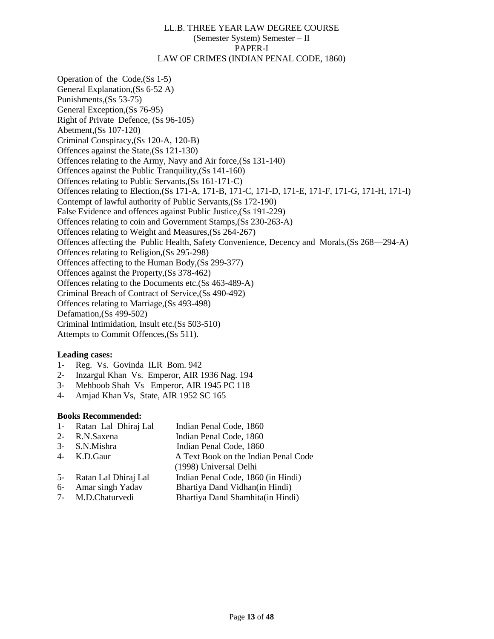#### LL.B. THREE YEAR LAW DEGREE COURSE (Semester System) Semester – II PAPER-I LAW OF CRIMES (INDIAN PENAL CODE, 1860)

Operation of the Code,(Ss 1-5) General Explanation,(Ss 6-52 A) Punishments,(Ss 53-75) General Exception,(Ss 76-95) Right of Private Defence, (Ss 96-105) Abetment,(Ss 107-120) Criminal Conspiracy,(Ss 120-A, 120-B) Offences against the State,(Ss 121-130) Offences relating to the Army, Navy and Air force,(Ss 131-140) Offences against the Public Tranquility,(Ss 141-160) Offences relating to Public Servants,(Ss 161-171-C) Offences relating to Election,(Ss 171-A, 171-B, 171-C, 171-D, 171-E, 171-F, 171-G, 171-H, 171-I) Contempt of lawful authority of Public Servants,(Ss 172-190) False Evidence and offences against Public Justice,(Ss 191-229) Offences relating to coin and Government Stamps,(Ss 230-263-A) Offences relating to Weight and Measures,(Ss 264-267) Offences affecting the Public Health, Safety Convenience, Decency and Morals,(Ss 268—294-A) Offences relating to Religion,(Ss 295-298) Offences affecting to the Human Body,(Ss 299-377) Offences against the Property,(Ss 378-462) Offences relating to the Documents etc.(Ss 463-489-A) Criminal Breach of Contract of Service,(Ss 490-492) Offences relating to Marriage,(Ss 493-498) Defamation,(Ss 499-502) Criminal Intimidation, Insult etc.(Ss 503-510) Attempts to Commit Offences,(Ss 511).

### **Leading cases:**

- 1- Reg. Vs. Govinda ILR Bom. 942
- 2- Inzargul Khan Vs. Emperor, AIR 1936 Nag. 194
- 3- Mehboob Shah Vs Emperor, AIR 1945 PC 118
- 4- Amjad Khan Vs, State, AIR 1952 SC 165

#### **Books Recommended:**

| 1- Ratan Lal Dhiraj Lal | Indian Penal Code, 1860              |
|-------------------------|--------------------------------------|
| 2- R.N.Saxena           | Indian Penal Code, 1860              |
| 3- S.N.Mishra           | Indian Penal Code, 1860              |
| 4- K.D.Gaur             | A Text Book on the Indian Penal Code |
|                         | (1998) Universal Delhi               |
| 5- Ratan Lal Dhiraj Lal | Indian Penal Code, 1860 (in Hindi)   |
| 6- Amar singh Yadav     | Bhartiya Dand Vidhan(in Hindi)       |
| $7$ MD Chaturuadi       | Dhortive Dond Chambito(in Hindi)     |

7- M.D.Chaturvedi Bhartiya Dand Shamhita(in Hindi)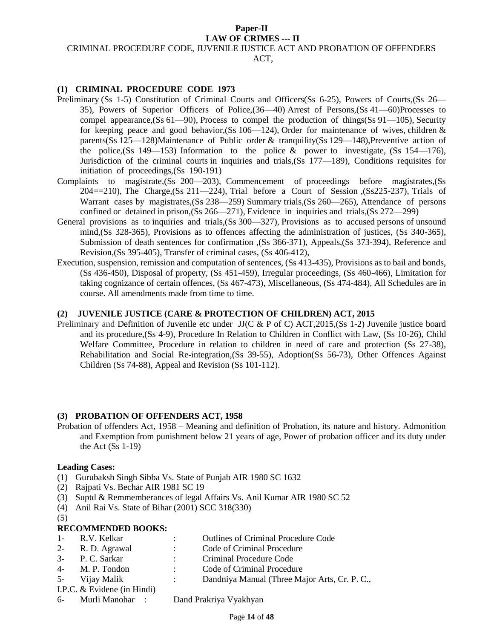#### **Paper-II LAW OF CRIMES --- II**

#### CRIMINAL PROCEDURE CODE, JUVENILE JUSTICE ACT AND PROBATION OF OFFENDERS

ACT,

#### **(1) CRIMINAL PROCEDURE CODE 1973**

- Preliminary (Ss 1-5) Constitution of Criminal Courts and Officers(Ss 6-25), Powers of Courts,(Ss 26— 35), Powers of Superior Officers of Police,(36—40) Arrest of Persons,(Ss 41—60)Processes to compel appearance, (Ss 61—90), Process to compel the production of things (Ss 91—105), Security for keeping peace and good behavior, (Ss 106—124), Order for maintenance of wives, children  $\&$ parents(Ss 125—128)Maintenance of Public order & tranquility(Ss 129—148), Preventive action of the police,  $(Ss\ 149-153)$  Information to the police & power to investigate,  $(Ss\ 154-176)$ , Jurisdiction of the criminal courts in inquiries and trials,(Ss 177—189), Conditions requisites for initiation of proceedings,(Ss 190-191)
- Complaints to magistrate,(Ss 200—203), Commencement of proceedings before magistrates,(Ss  $204 = 210$ ), The Charge, (Ss 211-224), Trial before a Court of Session (Ss225-237), Trials of Warrant cases by magistrates,(Ss 238—259) Summary trials,(Ss 260—265), Attendance of persons confined or detained in prison,(Ss 266—271), Evidence in inquiries and trials,(Ss 272—299)
- General provisions as to inquiries and trials,(Ss 300—327), Provisions as to accused persons of unsound mind,(Ss 328-365), Provisions as to offences affecting the administration of justices, (Ss 340-365), Submission of death sentences for confirmation ,(Ss 366-371), Appeals,(Ss 373-394), Reference and Revision,(Ss 395-405), Transfer of criminal cases, (Ss 406-412),
- Execution, suspension, remission and computation of sentences, (Ss 413-435), Provisions as to bail and bonds, (Ss 436-450), Disposal of property, (Ss 451-459), Irregular proceedings, (Ss 460-466), Limitation for taking cognizance of certain offences, (Ss 467-473), Miscellaneous, (Ss 474-484), All Schedules are in course. All amendments made from time to time.

#### **(2) JUVENILE JUSTICE (CARE & PROTECTION OF CHILDREN) ACT, 2015**

Preliminary and Definition of Juvenile etc under JJ(C & P of C) ACT,2015,(Ss 1-2) Juvenile justice board and its procedure,(Ss 4-9), Procedure In Relation to Children in Conflict with Law, (Ss 10-26), Child Welfare Committee, Procedure in relation to children in need of care and protection (Ss 27-38), Rehabilitation and Social Re-integration,(Ss 39-55), Adoption(Ss 56-73), Other Offences Against Children (Ss 74-88), Appeal and Revision (Ss 101-112).

#### **(3) PROBATION OF OFFENDERS ACT, 1958**

Probation of offenders Act, 1958 – Meaning and definition of Probation, its nature and history. Admonition and Exemption from punishment below 21 years of age, Power of probation officer and its duty under the Act (Ss 1-19)

#### **Leading Cases:**

- (1) Gurubaksh Singh Sibba Vs. State of Punjab AIR 1980 SC 1632
- (2) Rajpati Vs. Bechar AIR 1981 SC 19
- (3) Suptd & Remmemberances of legal Affairs Vs. Anil Kumar AIR 1980 SC 52
- (4) Anil Rai Vs. State of Bihar (2001) SCC 318(330)
- (5)

### **RECOMMENDED BOOKS:**

1- R.V. Kelkar : Outlines of Criminal Procedure Code 2- R. D. Agrawal : Code of Criminal Procedure 3- P. C. Sarkar : Criminal Procedure Code 4- M. P. Tondon : Code of Criminal Procedure 5- Vijay Malik : Dandniya Manual (Three Major Arts, Cr. P. C., I.P.C. & Evidene (in Hindi) 6- Murli Manohar : Dand Prakriya Vyakhyan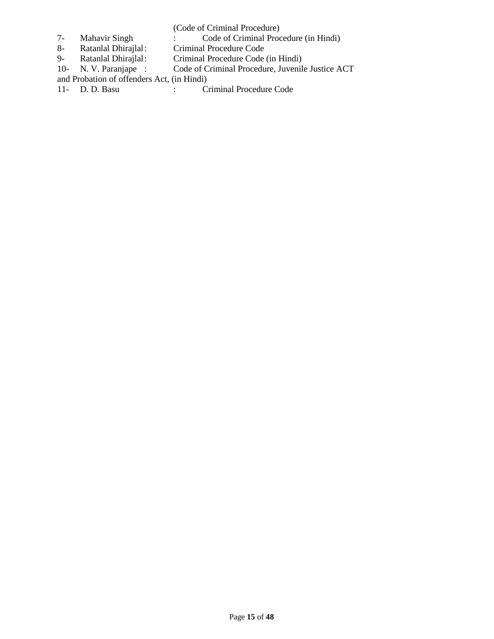(Code of Criminal Procedure)

- 7- Mahavir Singh : Code of Criminal Procedure (in Hindi)
- 8- Ratanlal Dhirajlal: Criminal Procedure Code
- 9- Ratanlal Dhirajlal: Criminal Procedure Code (in Hindi)
- 10- N. V. Paranjape : Code of Criminal Procedure, Juvenile Justice ACT
- and Probation of offenders Act, (in Hindi)<br>11- D. D. Basu : C
- : Criminal Procedure Code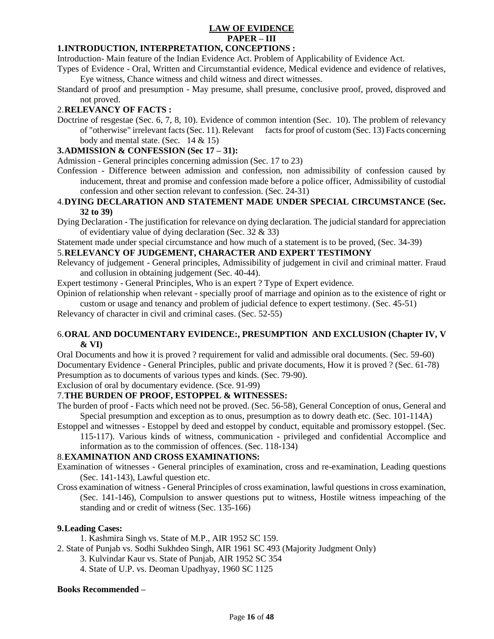# **LAW OF EVIDENCE PAPER – III**

## **1.INTRODUCTION, INTERPRETATION, CONCEPTIONS :**

Introduction- Main feature of the Indian Evidence Act. Problem of Applicability of Evidence Act.

- Types of Evidence Oral, Written and Circumstantial evidence, Medical evidence and evidence of relatives, Eye witness, Chance witness and child witness and direct witnesses.
- Standard of proof and presumption May presume, shall presume, conclusive proof, proved, disproved and not proved.

## 2.**RELEVANCY OF FACTS :**

Doctrine of resgestae (Sec. 6, 7, 8, 10). Evidence of common intention (Sec. 10). The problem of relevancy of "otherwise" irrelevant facts (Sec. 11). Relevant facts for proof of custom (Sec. 13) Facts concerning body and mental state. (Sec.  $14 \& 15$ )

### **3.ADMISSION & CONFESSION (Sec 17 – 31):**

Admission - General principles concerning admission (Sec. 17 to 23)

Confession - Difference between admission and confession, non admissibility of confession caused by inducement, threat and promise and confession made before a police officer, Admissibility of custodial confession and other section relevant to confession. (Sec. 24-31)

#### 4.**DYING DECLARATION AND STATEMENT MADE UNDER SPECIAL CIRCUMSTANCE (Sec. 32 to 39)**

Dying Declaration - The justification for relevance on dying declaration. The judicial standard for appreciation of evidentiary value of dying declaration (Sec. 32  $\&$  33)

Statement made under special circumstance and how much of a statement is to be proved, (Sec. 34-39)

## 5.**RELEVANCY OF JUDGEMENT, CHARACTER AND EXPERT TESTIMONY**

Relevancy of judgement - General principles, Admissibility of judgement in civil and criminal matter. Fraud and collusion in obtaining judgement (Sec. 40-44).

Expert testimony - General Principles, Who is an expert ? Type of Expert evidence.

Opinion of relationship when relevant - specially proof of marriage and opinion as to the existence of right or custom or usage and tenancy and problem of judicial defence to expert testimony. (Sec. 45-51)

Relevancy of character in civil and criminal cases. (Sec. 52-55)

### 6.**ORAL AND DOCUMENTARY EVIDENCE:, PRESUMPTION AND EXCLUSION (Chapter IV, V & VI)**

Oral Documents and how it is proved ? requirement for valid and admissible oral documents. (Sec. 59-60) Documentary Evidence - General Principles, public and private documents, How it is proved ? (Sec. 61-78) Presumption as to documents of various types and kinds. (Sec. 79-90).

Exclusion of oral by documentary evidence. (Sce. 91-99)

## 7.**THE BURDEN OF PROOF, ESTOPPEL & WITNESSES:**

The burden of proof - Facts which need not be proved. (Sec. 56-58), General Conception of onus, General and Special presumption and exception as to onus, presumption as to dowry death etc. (Sec. 101-114A)

Estoppel and witnesses - Estoppel by deed and estoppel by conduct, equitable and promissory estoppel. (Sec. 115-117). Various kinds of witness, communication - privileged and confidential Accomplice and

information as to the commission of offences. (Sec. 118-134)

### 8.**EXAMINATION AND CROSS EXAMINATIONS:**

- Examination of witnesses General principles of examination, cross and re-examination, Leading questions (Sec. 141-143), Lawful question etc.
- Cross examination of witness General Principles of cross examination, lawful questions in cross examination, (Sec. 141-146), Compulsion to answer questions put to witness, Hostile witness impeaching of the standing and or credit of witness (Sec. 135-166)

### **9.Leading Cases:**

1. Kashmira Singh vs. State of M.P., AIR 1952 SC 159.

- 2. State of Punjab vs. Sodhi Sukhdeo Singh, AIR 1961 SC 493 (Majority Judgment Only)
	- 3. Kulvindar Kaur vs. State of Punjab, AIR 1952 SC 354
	- 4. State of U.P. vs. Deoman Upadhyay, 1960 SC 1125

#### **Books Recommended –**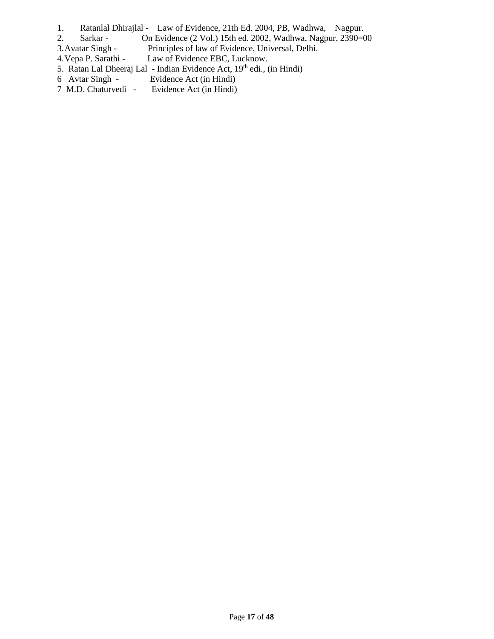- 1. Ratanlal Dhirajlal Law of Evidence, 21th Ed. 2004, PB, Wadhwa, Nagpur.
- 2. Sarkar On Evidence (2 Vol.) 15th ed. 2002, Wadhwa, Nagpur, 2390=00
- 3. Avatar Singh Principles of law of Evidence, Universal, Delhi.<br>4. Vepa P. Sarathi Law of Evidence EBC, Lucknow.
- Law of Evidence EBC, Lucknow.
- 5. Ratan Lal Dheeraj Lal Indian Evidence Act, 19th edi., (in Hindi)
- 6 Avtar Singh Evidence Act (in Hindi)<br>7 M.D. Chaturvedi Evidence Act (in Hindi)
- Evidence Act (in Hindi)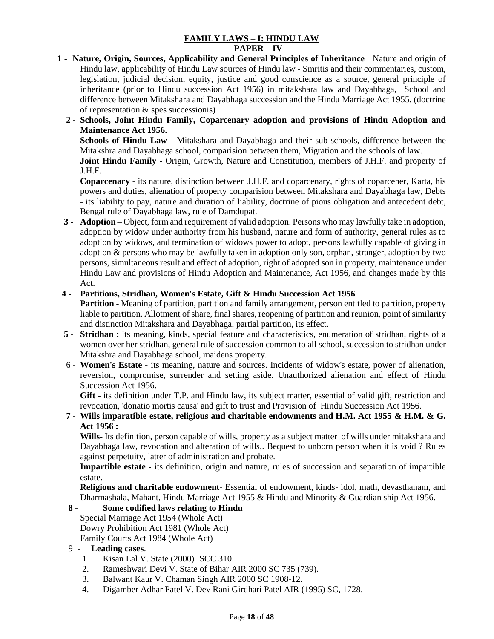## **FAMILY LAWS – I: HINDU LAW**

#### **PAPER – IV**

- **1 Nature, Origin, Sources, Applicability and General Principles of Inheritance** Nature and origin of Hindu law, applicability of Hindu Law sources of Hindu law - Smritis and their commentaries, custom, legislation, judicial decision, equity, justice and good conscience as a source, general principle of inheritance (prior to Hindu succession Act 1956) in mitakshara law and Dayabhaga, School and difference between Mitakshara and Dayabhaga succession and the Hindu Marriage Act 1955. (doctrine of representation & spes successionis)
	- **2 - Schools, Joint Hindu Family, Coparcenary adoption and provisions of Hindu Adoption and Maintenance Act 1956.**

**Schools of Hindu Law -** Mitakshara and Dayabhaga and their sub-schools, difference between the Mitakshra and Dayabhaga school, comparision between them, Migration and the schools of law.

**Joint Hindu Family -** Origin, Growth, Nature and Constitution, members of J.H.F. and property of J.H.F.

**Coparcenary -** its nature, distinction between J.H.F. and coparcenary, rights of coparcener, Karta, his powers and duties, alienation of property comparision between Mitakshara and Dayabhaga law, Debts - its liability to pay, nature and duration of liability, doctrine of pious obligation and antecedent debt, Bengal rule of Dayabhaga law, rule of Damdupat.

 **3 - Adoption –** Object, form and requirement of valid adoption. Persons who may lawfully take in adoption, adoption by widow under authority from his husband, nature and form of authority, general rules as to adoption by widows, and termination of widows power to adopt, persons lawfully capable of giving in adoption & persons who may be lawfully taken in adoption only son, orphan, stranger, adoption by two persons, simultaneous result and effect of adoption, right of adopted son in property, maintenance under Hindu Law and provisions of Hindu Adoption and Maintenance, Act 1956, and changes made by this Act.

## **4 - Partitions, Stridhan, Women's Estate, Gift & Hindu Succession Act 1956**

**Partition -** Meaning of partition, partition and family arrangement, person entitled to partition, property liable to partition. Allotment of share, final shares, reopening of partition and reunion, point of similarity and distinction Mitakshara and Dayabhaga, partial partition, its effect.

- **5 - Stridhan :** its meaning, kinds, special feature and characteristics, enumeration of stridhan, rights of a women over her stridhan, general rule of succession common to all school, succession to stridhan under Mitakshra and Dayabhaga school, maidens property.
- 6 **Women's Estate -** its meaning, nature and sources. Incidents of widow's estate, power of alienation, reversion, compromise, surrender and setting aside. Unauthorized alienation and effect of Hindu Succession Act 1956.

**Gift -** its definition under T.P. and Hindu law, its subject matter, essential of valid gift, restriction and revocation, 'donatio mortis causa' and gift to trust and Provision of Hindu Succession Act 1956.

 **7 - Wills imparatible estate, religious and charitable endowments and H.M. Act 1955 & H.M. & G. Act 1956 :**

**Wills-** Its definition, person capable of wills, property as a subject matter of wills under mitakshara and Dayabhaga law, revocation and alteration of wills,. Bequest to unborn person when it is void ? Rules against perpetuity, latter of administration and probate.

 **Impartible estate -** its definition, origin and nature, rules of succession and separation of impartible estate.

**Religious and charitable endowment**- Essential of endowment, kinds- idol, math, devasthanam, and Dharmashala, Mahant, Hindu Marriage Act 1955 & Hindu and Minority & Guardian ship Act 1956.

## **8 - Some codified laws relating to Hindu**

Special Marriage Act 1954 (Whole Act)

Dowry Prohibition Act 1981 (Whole Act)

Family Courts Act 1984 (Whole Act)

## 9 - **Leading cases**.

- 1 Kisan Lal V. State (2000) ISCC 310.
- 2. Rameshwari Devi V. State of Bihar AIR 2000 SC 735 (739).
- 3. Balwant Kaur V. Chaman Singh AIR 2000 SC 1908-12.
- 4. Digamber Adhar Patel V. Dev Rani Girdhari Patel AIR (1995) SC, 1728.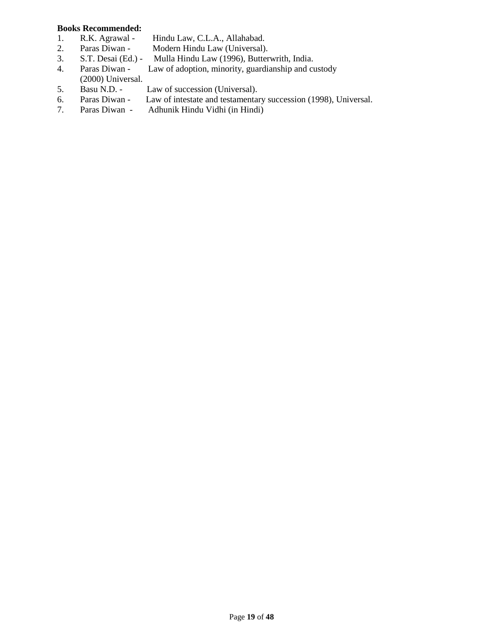#### **Books Recommended:**

- 1. R.K. Agrawal Hindu Law, C.L.A., Allahabad.
- 2. Paras Diwan Modern Hindu Law (Universal).
- 3. S.T. Desai (Ed.) Mulla Hindu Law (1996), Butterwrith, India.
- 4. Paras Diwan Law of adoption, minority, guardianship and custody
- (2000) Universal.
- 5. Basu N.D. Law of succession (Universal).
- 6. Paras Diwan Law of intestate and testamentary succession (1998), Universal.
- 7. Paras Diwan Adhunik Hindu Vidhi (in Hindi)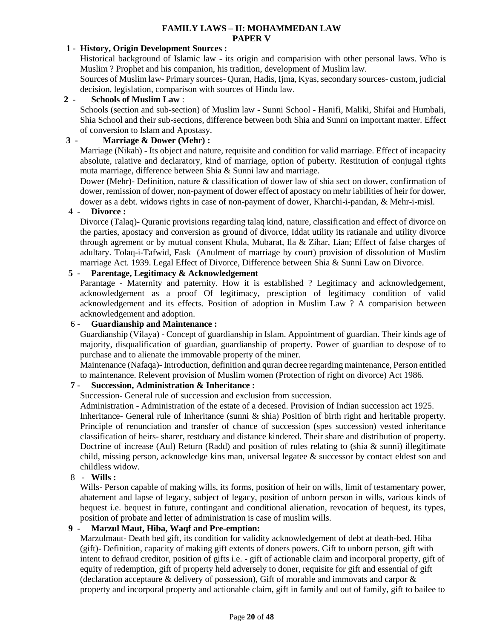## **FAMILY LAWS – II: MOHAMMEDAN LAW PAPER V**

### **1 - History, Origin Development Sources :**

Historical background of Islamic law - its origin and comparision with other personal laws. Who is Muslim ? Prophet and his companion, his tradition, development of Muslim law.

Sources of Muslim law- Primary sources- Quran, Hadis, Ijma, Kyas, secondary sources- custom, judicial decision, legislation, comparison with sources of Hindu law.

#### **2 - Schools of Muslim Law** :

Schools (section and sub-section) of Muslim law - Sunni School - Hanifi, Maliki, Shifai and Humbali, Shia School and their sub-sections, difference between both Shia and Sunni on important matter. Effect of conversion to Islam and Apostasy.

## **3 - Marriage & Dower (Mehr) :**

Marriage (Nikah) - Its object and nature, requisite and condition for valid marriage. Effect of incapacity absolute, ralative and declaratory, kind of marriage, option of puberty. Restitution of conjugal rights muta marriage, difference between Shia & Sunni law and marriage.

Dower (Mehr)- Definition, nature & classification of dower law of shia sect on dower, confirmation of dower, remission of dower, non-payment of dower effect of apostacy on mehr iabilities of heir for dower, dower as a debt. widows rights in case of non-payment of dower, Kharchi-i-pandan, & Mehr-i-misl.

### 4 - **Divorce :**

Divorce (Talaq)- Quranic provisions regarding talaq kind, nature, classification and effect of divorce on the parties, apostacy and conversion as ground of divorce, Iddat utility its ratianale and utility divorce through agrement or by mutual consent Khula, Mubarat, Ila & Zihar, Lian; Effect of false charges of adultary. Tolaq-i-Tafwid, Fask (Anulment of marriage by court) provision of dissolution of Muslim marriage Act. 1939. Legal Effect of Divorce, Difference between Shia & Sunni Law on Divorce.

## **5 - Parentage, Legitimacy & Acknowledgement**

Parantage - Maternity and paternity. How it is established ? Legitimacy and acknowledgement, acknowledgement as a proof Of legitimacy, presciption of legitimacy condition of valid acknowledgement and its effects. Position of adoption in Muslim Law ? A comparision between acknowledgement and adoption.

#### 6 - **Guardianship and Maintenance :**

Guardianship (Vilaya) - Concept of guardianship in Islam. Appointment of guardian. Their kinds age of majority, disqualification of guardian, guardianship of property. Power of guardian to despose of to purchase and to alienate the immovable property of the miner.

Maintenance (Nafaqa)- Introduction, definition and quran decree regarding maintenance, Person entitled to maintenance. Relevent provision of Muslim women (Protection of right on divorce) Act 1986.

## **7 - Succession, Administration & Inheritance :**

Succession- General rule of succession and exclusion from succession.

Administration - Administration of the estate of a decesed. Provision of Indian succession act 1925.

Inheritance- General rule of Inheritance (sunni & shia) Position of birth right and heritable property. Principle of renunciation and transfer of chance of succession (spes succession) vested inheritance classification of heirs- sharer, restduary and distance kindered. Their share and distribution of property. Doctrine of increase (Aul) Return (Radd) and position of rules relating to (shia  $\&$  sunni) illegitimate child, missing person, acknowledge kins man, universal legatee & successor by contact eldest son and childless widow.

8 - **Wills :**

Wills- Person capable of making wills, its forms, position of heir on wills, limit of testamentary power, abatement and lapse of legacy, subject of legacy, position of unborn person in wills, various kinds of bequest i.e. bequest in future, contingant and conditional alienation, revocation of bequest, its types, position of probate and letter of administration is case of muslim wills.

## **9 - Marzul Maut, Hiba, Waqf and Pre-emption:**

Marzulmaut- Death bed gift, its condition for validity acknowledgement of debt at death-bed. Hiba (gift)- Definition, capacity of making gift extents of doners powers. Gift to unborn person, gift with intent to defraud creditor, position of gifts i.e. - gift of actionable claim and incorporal property, gift of equity of redemption, gift of property held adversely to doner, requisite for gift and essential of gift (declaration acceptaure & delivery of possession), Gift of morable and immovats and carpor & property and incorporal property and actionable claim, gift in family and out of family, gift to bailee to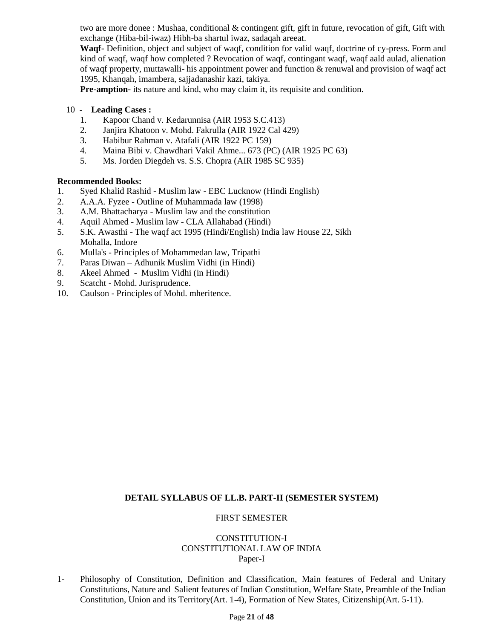two are more donee : Mushaa, conditional & contingent gift, gift in future, revocation of gift, Gift with exchange (Hiba-bil-iwaz) Hibh-ba shartul iwaz, sadaqah areeat.

**Waqf-** Definition, object and subject of waqf, condition for valid waqf, doctrine of cy-press. Form and kind of waqf, waqf how completed ? Revocation of waqf, contingant waqf, waqf aald aulad, alienation of waqf property, muttawalli- his appointment power and function & renuwal and provision of waqf act 1995, Khanqah, imambera, sajjadanashir kazi, takiya.

**Pre-amption-** its nature and kind, who may claim it, its requisite and condition.

- 10 **Leading Cases :**
	- 1. Kapoor Chand v. Kedarunnisa (AIR 1953 S.C.413)
	- 2. Janjira Khatoon v. Mohd. Fakrulla (AIR 1922 Cal 429)
	- 3. Habibur Rahman v. Atafali (AIR 1922 PC 159)
	- 4. Maina Bibi v. Chawdhari Vakil Ahme... 673 (PC) (AIR 1925 PC 63)
	- 5. Ms. Jorden Diegdeh vs. S.S. Chopra (AIR 1985 SC 935)

## **Recommended Books:**

- 1. Syed Khalid Rashid Muslim law EBC Lucknow (Hindi English)
- 2. A.A.A. Fyzee Outline of Muhammada law (1998)
- 3. A.M. Bhattacharya Muslim law and the constitution
- 4. Aquil Ahmed Muslim law CLA Allahabad (Hindi)
- 5. S.K. Awasthi The waqf act 1995 (Hindi/English) India law House 22, Sikh Mohalla, Indore
- 6. Mulla's Principles of Mohammedan law, Tripathi
- 7. Paras Diwan Adhunik Muslim Vidhi (in Hindi)
- 8. Akeel Ahmed Muslim Vidhi (in Hindi)
- 9. Scatcht Mohd. Jurisprudence.
- 10. Caulson Principles of Mohd. mheritence.

### **DETAIL SYLLABUS OF LL.B. PART-II (SEMESTER SYSTEM)**

#### FIRST SEMESTER

### CONSTITUTION-I CONSTITUTIONAL LAW OF INDIA Paper-I

1- Philosophy of Constitution, Definition and Classification, Main features of Federal and Unitary Constitutions, Nature and Salient features of Indian Constitution, Welfare State, Preamble of the Indian Constitution, Union and its Territory(Art. 1-4), Formation of New States, Citizenship(Art. 5-11).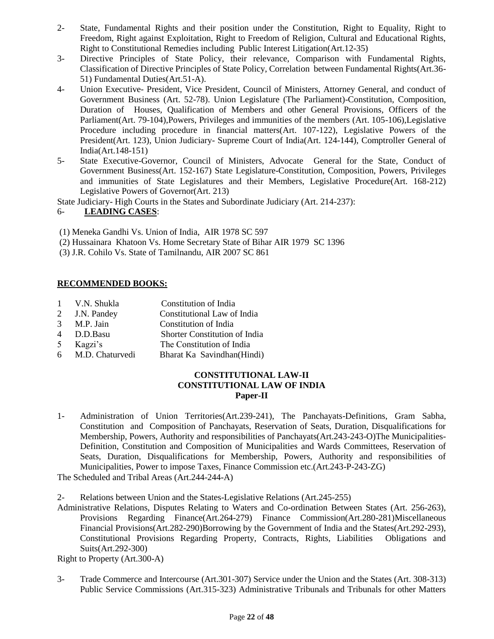- 2- State, Fundamental Rights and their position under the Constitution, Right to Equality, Right to Freedom, Right against Exploitation, Right to Freedom of Religion, Cultural and Educational Rights, Right to Constitutional Remedies including Public Interest Litigation(Art.12-35)
- 3- Directive Principles of State Policy, their relevance, Comparison with Fundamental Rights, Classification of Directive Principles of State Policy, Correlation between Fundamental Rights(Art.36- 51) Fundamental Duties(Art.51-A).
- 4- Union Executive- President, Vice President, Council of Ministers, Attorney General, and conduct of Government Business (Art. 52-78). Union Legislature (The Parliament)-Constitution, Composition, Duration of Houses, Qualification of Members and other General Provisions, Officers of the Parliament(Art. 79-104),Powers, Privileges and immunities of the members (Art. 105-106),Legislative Procedure including procedure in financial matters(Art. 107-122), Legislative Powers of the President(Art. 123), Union Judiciary- Supreme Court of India(Art. 124-144), Comptroller General of India(Art.148-151)
- 5- State Executive-Governor, Council of Ministers, Advocate General for the State, Conduct of Government Business(Art. 152-167) State Legislature-Constitution, Composition, Powers, Privileges and immunities of State Legislatures and their Members, Legislative Procedure(Art. 168-212) Legislative Powers of Governor(Art. 213)

State Judiciary- High Courts in the States and Subordinate Judiciary (Art. 214-237):

### 6- **LEADING CASES**:

- (1) Meneka Gandhi Vs. Union of India, AIR 1978 SC 597
- (2) Hussainara Khatoon Vs. Home Secretary State of Bihar AIR 1979 SC 1396
- (3) J.R. Cohilo Vs. State of Tamilnandu, AIR 2007 SC 861

## **RECOMMENDED BOOKS:**

- 1 V.N. Shukla Constitution of India
- 2 J.N. Pandey Constitutional Law of India
- 3 M.P. Jain Constitution of India
- 4 D.D.Basu Shorter Constitution of India
- 5 Kagzi's The Constitution of India
- 6 M.D. Chaturvedi Bharat Ka Savindhan(Hindi)

## **CONSTITUTIONAL LAW-II CONSTITUTIONAL LAW OF INDIA Paper-II**

1- Administration of Union Territories(Art.239-241), The Panchayats-Definitions, Gram Sabha, Constitution and Composition of Panchayats, Reservation of Seats, Duration, Disqualifications for Membership, Powers, Authority and responsibilities of Panchayats(Art.243-243-O)The Municipalities-Definition, Constitution and Composition of Municipalities and Wards Committees, Reservation of Seats, Duration, Disqualifications for Membership, Powers, Authority and responsibilities of Municipalities, Power to impose Taxes, Finance Commission etc.(Art.243-P-243-ZG)

The Scheduled and Tribal Areas (Art.244-244-A)

2- Relations between Union and the States-Legislative Relations (Art.245-255)

Administrative Relations, Disputes Relating to Waters and Co-ordination Between States (Art. 256-263), Provisions Regarding Finance(Art.264-279) Finance Commission(Art.280-281)Miscellaneous Financial Provisions(Art.282-290)Borrowing by the Government of India and the States(Art.292-293), Constitutional Provisions Regarding Property, Contracts, Rights, Liabilities Obligations and Suits(Art.292-300)

Right to Property (Art.300-A)

3- Trade Commerce and Intercourse (Art.301-307) Service under the Union and the States (Art. 308-313) Public Service Commissions (Art.315-323) Administrative Tribunals and Tribunals for other Matters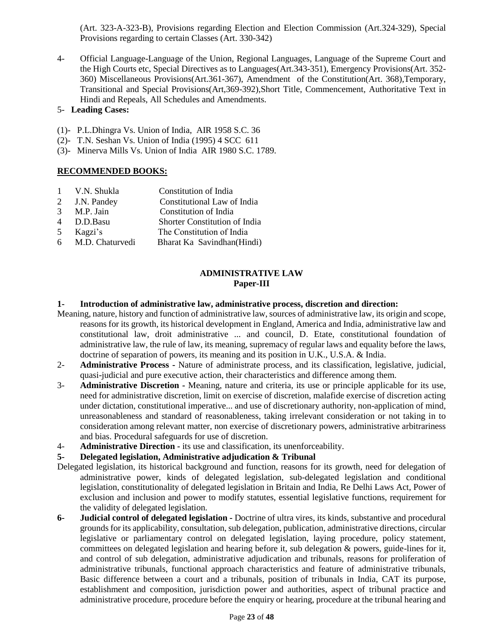(Art. 323-A-323-B), Provisions regarding Election and Election Commission (Art.324-329), Special Provisions regarding to certain Classes (Art. 330-342)

4- Official Language-Language of the Union, Regional Languages, Language of the Supreme Court and the High Courts etc, Special Directives as to Languages(Art.343-351), Emergency Provisions(Art. 352- 360) Miscellaneous Provisions(Art.361-367), Amendment of the Constitution(Art. 368),Temporary, Transitional and Special Provisions(Art,369-392),Short Title, Commencement, Authoritative Text in Hindi and Repeals, All Schedules and Amendments.

## 5- **Leading Cases:**

- (1)- P.L.Dhingra Vs. Union of India, AIR 1958 S.C. 36
- (2)- T.N. Seshan Vs. Union of India (1995) 4 SCC 611
- (3)- Minerva Mills Vs. Union of India AIR 1980 S.C. 1789.

## **RECOMMENDED BOOKS:**

- 1 V.N. Shukla Constitution of India
- 2 J.N. Pandey Constitutional Law of India
- 3 M.P. Jain Constitution of India
- 4 D.D.Basu Shorter Constitution of India
- 5 Kagzi's The Constitution of India
- 6 M.D. Chaturvedi Bharat Ka Savindhan(Hindi)

## **ADMINISTRATIVE LAW Paper-III**

### **1- Introduction of administrative law, administrative process, discretion and direction:**

- Meaning, nature, history and function of administrative law, sources of administrative law, its origin and scope, reasons for its growth, its historical development in England, America and India, administrative law and constitutional law, droit administrative ... and council, D. Etate, constitutional foundation of administrative law, the rule of law, its meaning, supremacy of regular laws and equality before the laws, doctrine of separation of powers, its meaning and its position in U.K., U.S.A. & India.
- 2- **Administrative Process -** Nature of administrate process, and its classification, legislative, judicial, quasi-judicial and pure executive action, their characteristics and difference among them.
- 3- **Administrative Discretion -** Meaning, nature and criteria, its use or principle applicable for its use, need for administrative discretion, limit on exercise of discretion, malafide exercise of discretion acting under dictation, constitutional imperative... and use of discretionary authority, non-application of mind, unreasonableness and standard of reasonableness, taking irrelevant consideration or not taking in to consideration among relevant matter, non exercise of discretionary powers, administrative arbitrariness and bias. Procedural safeguards for use of discretion.
- 4- **Administrative Direction -** its use and classification, its unenforceability.

### **5- Delegated legislation, Administrative adjudication & Tribunal**

- Delegated legislation, its historical background and function, reasons for its growth, need for delegation of administrative power, kinds of delegated legislation, sub-delegated legislation and conditional legislation, constitutionality of delegated legislation in Britain and India, Re Delhi Laws Act, Power of exclusion and inclusion and power to modify statutes, essential legislative functions, requirement for the validity of delegated legislation.
- **6- Judicial control of delegated legislation -** Doctrine of ultra vires, its kinds, substantive and procedural grounds for its applicability, consultation, sub delegation, publication, administrative directions, circular legislative or parliamentary control on delegated legislation, laying procedure, policy statement, committees on delegated legislation and hearing before it, sub delegation & powers, guide-lines for it, and control of sub delegation, administrative adjudication and tribunals, reasons for proliferation of administrative tribunals, functional approach characteristics and feature of administrative tribunals, Basic difference between a court and a tribunals, position of tribunals in India, CAT its purpose, establishment and composition, jurisdiction power and authorities, aspect of tribunal practice and administrative procedure, procedure before the enquiry or hearing, procedure at the tribunal hearing and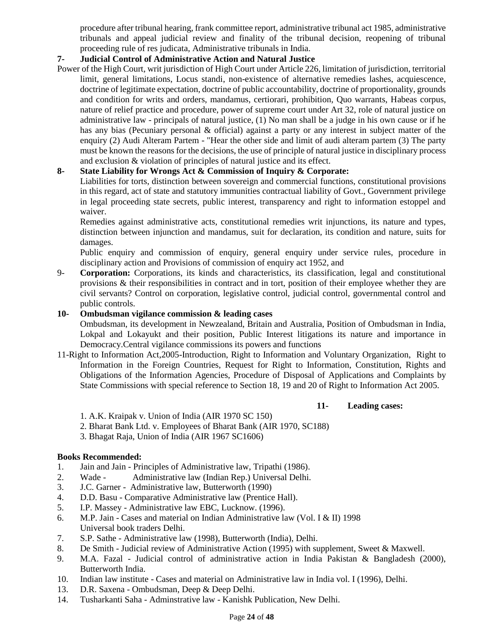procedure after tribunal hearing, frank committee report, administrative tribunal act 1985, administrative tribunals and appeal judicial review and finality of the tribunal decision, reopening of tribunal proceeding rule of res judicata, Administrative tribunals in India.

## **7- Judicial Control of Administrative Action and Natural Justice**

Power of the High Court, writ jurisdiction of High Court under Article 226, limitation of jurisdiction, territorial limit, general limitations, Locus standi, non-existence of alternative remedies lashes, acquiescence, doctrine of legitimate expectation, doctrine of public accountability, doctrine of proportionality, grounds and condition for writs and orders, mandamus, certiorari, prohibition, Quo warrants, Habeas corpus, nature of relief practice and procedure, power of supreme court under Art 32, role of natural justice on administrative law - principals of natural justice, (1) No man shall be a judge in his own cause or if he has any bias (Pecuniary personal & official) against a party or any interest in subject matter of the enquiry (2) Audi Alteram Partem - "Hear the other side and limit of audi alteram partem (3) The party must be known the reasons for the decisions, the use of principle of natural justice in disciplinary process and exclusion & violation of principles of natural justice and its effect.

## **8- State Liability for Wrongs Act & Commission of Inquiry & Corporate:**

Liabilities for torts, distinction between sovereign and commercial functions, constitutional provisions in this regard, act of state and statutory immunities contractual liability of Govt., Government privilege in legal proceeding state secrets, public interest, transparency and right to information estoppel and waiver.

Remedies against administrative acts, constitutional remedies writ injunctions, its nature and types, distinction between injunction and mandamus, suit for declaration, its condition and nature, suits for damages.

Public enquiry and commission of enquiry, general enquiry under service rules, procedure in disciplinary action and Provisions of commission of enquiry act 1952, and

9- **Corporation:** Corporations, its kinds and characteristics, its classification, legal and constitutional provisions & their responsibilities in contract and in tort, position of their employee whether they are civil servants? Control on corporation, legislative control, judicial control, governmental control and public controls.

#### **10- Ombudsman vigilance commission & leading cases**

Ombudsman, its development in Newzealand, Britain and Australia, Position of Ombudsman in India, Lokpal and Lokayukt and their position, Public Interest litigations its nature and importance in Democracy.Central vigilance commissions its powers and functions

11-Right to Information Act,2005-Introduction, Right to Information and Voluntary Organization, Right to Information in the Foreign Countries, Request for Right to Information, Constitution, Rights and Obligations of the Information Agencies, Procedure of Disposal of Applications and Complaints by State Commissions with special reference to Section 18, 19 and 20 of Right to Information Act 2005.

#### **11- Leading cases:**

- 1. A.K. Kraipak v. Union of India (AIR 1970 SC 150)
- 2. Bharat Bank Ltd. v. Employees of Bharat Bank (AIR 1970, SC188)
- 3. Bhagat Raja, Union of India (AIR 1967 SC1606)

### **Books Recommended:**

- 1. Jain and Jain Principles of Administrative law, Tripathi (1986).
- 2. Wade Administrative law (Indian Rep.) Universal Delhi.
- 3. J.C. Garner Administrative law, Butterworth (1990)
- 4. D.D. Basu Comparative Administrative law (Prentice Hall).
- 5. I.P. Massey Administrative law EBC, Lucknow. (1996).
- 6. M.P. Jain Cases and material on Indian Administrative law (Vol. I & II) 1998 Universal book traders Delhi.
- 7. S.P. Sathe Administrative law (1998), Butterworth (India), Delhi.
- 8. De Smith Judicial review of Administrative Action (1995) with supplement, Sweet & Maxwell.
- 9. M.A. Fazal Judicial control of administrative action in India Pakistan & Bangladesh (2000), Butterworth India.
- 10. Indian law institute Cases and material on Administrative law in India vol. I (1996), Delhi.
- 13. D.R. Saxena Ombudsman, Deep & Deep Delhi.
- 14. Tusharkanti Saha Adminstrative law Kanishk Publication, New Delhi.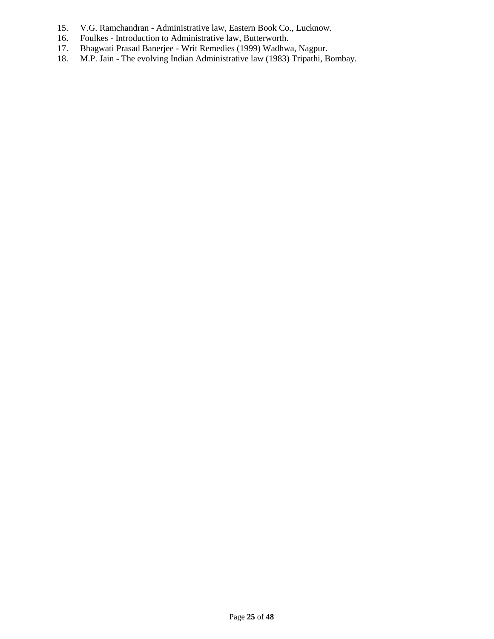- 15. V.G. Ramchandran Administrative law, Eastern Book Co., Lucknow.<br>16. Foulkes Introduction to Administrative law, Butterworth.
- 16. Foulkes Introduction to Administrative law, Butterworth.<br>17. Bhagwati Prasad Banerjee Writ Remedies (1999) Wadhwa
- 17. Bhagwati Prasad Banerjee Writ Remedies (1999) Wadhwa, Nagpur.
- 18. M.P. Jain The evolving Indian Administrative law (1983) Tripathi, Bombay.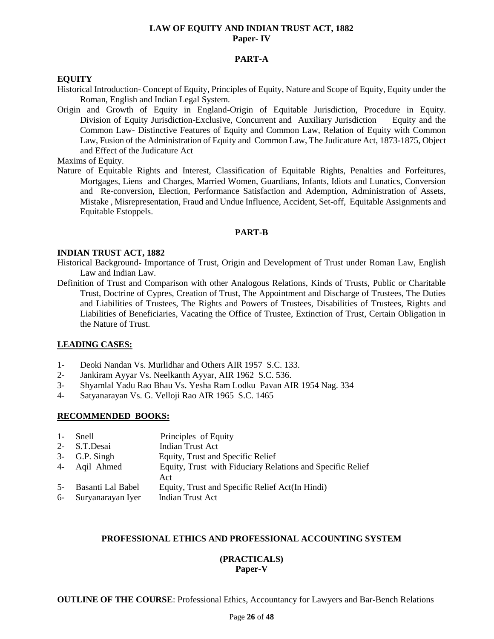#### **LAW OF EQUITY AND INDIAN TRUST ACT, 1882 Paper- IV**

#### **PART-A**

#### **EQUITY**

- Historical Introduction- Concept of Equity, Principles of Equity, Nature and Scope of Equity, Equity under the Roman, English and Indian Legal System.
- Origin and Growth of Equity in England-Origin of Equitable Jurisdiction, Procedure in Equity. Division of Equity Jurisdiction-Exclusive, Concurrent and Auxiliary Jurisdiction Equity and the Common Law- Distinctive Features of Equity and Common Law, Relation of Equity with Common Law, Fusion of the Administration of Equity and Common Law, The Judicature Act, 1873-1875, Object and Effect of the Judicature Act

Maxims of Equity.

Nature of Equitable Rights and Interest, Classification of Equitable Rights, Penalties and Forfeitures, Mortgages, Liens and Charges, Married Women, Guardians, Infants, Idiots and Lunatics, Conversion and Re-conversion, Election, Performance Satisfaction and Ademption, Administration of Assets, Mistake , Misrepresentation, Fraud and Undue Influence, Accident, Set-off, Equitable Assignments and Equitable Estoppels.

#### **PART-B**

#### **INDIAN TRUST ACT, 1882**

- Historical Background- Importance of Trust, Origin and Development of Trust under Roman Law, English Law and Indian Law.
- Definition of Trust and Comparison with other Analogous Relations, Kinds of Trusts, Public or Charitable Trust, Doctrine of Cypres, Creation of Trust, The Appointment and Discharge of Trustees, The Duties and Liabilities of Trustees, The Rights and Powers of Trustees, Disabilities of Trustees, Rights and Liabilities of Beneficiaries, Vacating the Office of Trustee, Extinction of Trust, Certain Obligation in the Nature of Trust.

#### **LEADING CASES:**

- 1- Deoki Nandan Vs. Murlidhar and Others AIR 1957 S.C. 133.
- 2- Jankiram Ayyar Vs. Neelkanth Ayyar, AIR 1962 S.C. 536.
- 3- Shyamlal Yadu Rao Bhau Vs. Yesha Ram Lodku Pavan AIR 1954 Nag. 334
- 4- Satyanarayan Vs. G. Velloji Rao AIR 1965 S.C. 1465

### **RECOMMENDED BOOKS:**

| 1- Snell             | Principles of Equity                                              |
|----------------------|-------------------------------------------------------------------|
| 2- S.T.Desai         | Indian Trust Act                                                  |
| 3- G.P. Singh        | Equity, Trust and Specific Relief                                 |
| 4- Aqil Ahmed        | Equity, Trust with Fiduciary Relations and Specific Relief<br>Act |
| 5- Basanti Lal Babel | Equity, Trust and Specific Relief Act(In Hindi)                   |
| 6- Suryanarayan Iyer | Indian Trust Act                                                  |

### **PROFESSIONAL ETHICS AND PROFESSIONAL ACCOUNTING SYSTEM**

#### **(PRACTICALS) Paper-V**

**OUTLINE OF THE COURSE:** Professional Ethics, Accountancy for Lawyers and Bar-Bench Relations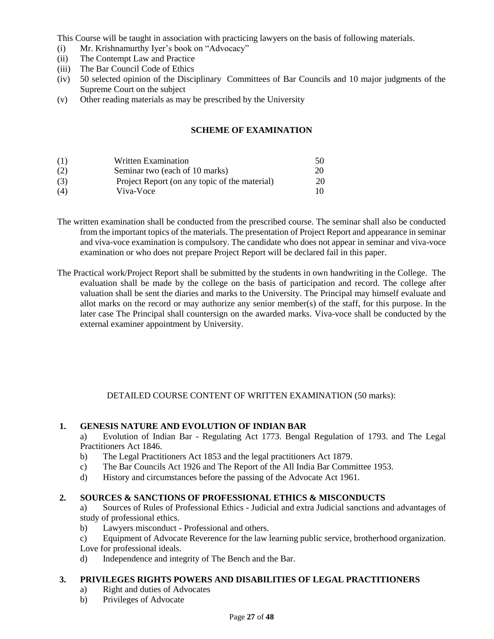This Course will be taught in association with practicing lawyers on the basis of following materials.

- (i) Mr. Krishnamurthy Iyer's book on "Advocacy"
- (ii) The Contempt Law and Practice
- (iii) The Bar Council Code of Ethics
- (iv) 50 selected opinion of the Disciplinary Committees of Bar Councils and 10 major judgments of the Supreme Court on the subject
- (v) Other reading materials as may be prescribed by the University

## **SCHEME OF EXAMINATION**

| (1) | <b>Written Examination</b>                    | 50  |
|-----|-----------------------------------------------|-----|
| (2) | Seminar two (each of 10 marks)                | 20  |
| (3) | Project Report (on any topic of the material) | 20  |
| (4) | Viva-Voce                                     | 10. |

- The written examination shall be conducted from the prescribed course. The seminar shall also be conducted from the important topics of the materials. The presentation of Project Report and appearance in seminar and viva-voce examination is compulsory. The candidate who does not appear in seminar and viva-voce examination or who does not prepare Project Report will be declared fail in this paper.
- The Practical work/Project Report shall be submitted by the students in own handwriting in the College. The evaluation shall be made by the college on the basis of participation and record. The college after valuation shall be sent the diaries and marks to the University. The Principal may himself evaluate and allot marks on the record or may authorize any senior member(s) of the staff, for this purpose. In the later case The Principal shall countersign on the awarded marks. Viva-voce shall be conducted by the external examiner appointment by University.

## DETAILED COURSE CONTENT OF WRITTEN EXAMINATION (50 marks):

## **1. GENESIS NATURE AND EVOLUTION OF INDIAN BAR**

a) Evolution of Indian Bar - Regulating Act 1773. Bengal Regulation of 1793. and The Legal Practitioners Act 1846.

- b) The Legal Practitioners Act 1853 and the legal practitioners Act 1879.
- c) The Bar Councils Act 1926 and The Report of the All India Bar Committee 1953.
- d) History and circumstances before the passing of the Advocate Act 1961.

## **2. SOURCES & SANCTIONS OF PROFESSIONAL ETHICS & MISCONDUCTS**

a) Sources of Rules of Professional Ethics - Judicial and extra Judicial sanctions and advantages of study of professional ethics.

- b) Lawyers misconduct Professional and others.
- c) Equipment of Advocate Reverence for the law learning public service, brotherhood organization. Love for professional ideals.
- d) Independence and integrity of The Bench and the Bar.

## **3. PRIVILEGES RIGHTS POWERS AND DISABILITIES OF LEGAL PRACTITIONERS**

- a) Right and duties of Advocates
- b) Privileges of Advocate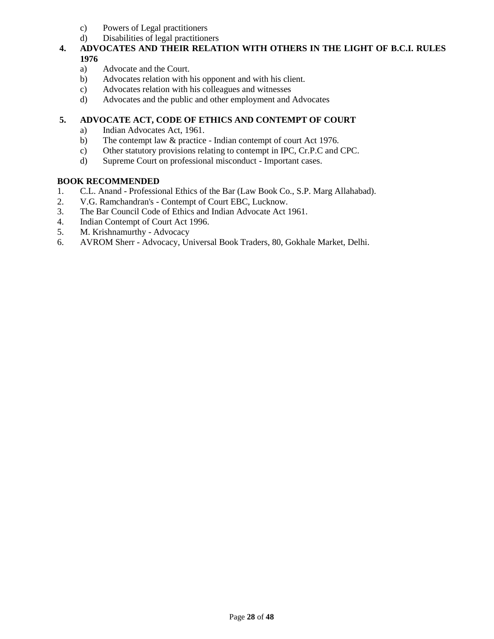- c) Powers of Legal practitioners
- d) Disabilities of legal practitioners

# **4. ADVOCATES AND THEIR RELATION WITH OTHERS IN THE LIGHT OF B.C.I. RULES 1976**

- a) Advocate and the Court.
- b) Advocates relation with his opponent and with his client.
- c) Advocates relation with his colleagues and witnesses
- d) Advocates and the public and other employment and Advocates

## **5. ADVOCATE ACT, CODE OF ETHICS AND CONTEMPT OF COURT**

- a) Indian Advocates Act, 1961.
- b) The contempt law & practice Indian contempt of court Act 1976.
- c) Other statutory provisions relating to contempt in IPC, Cr.P.C and CPC.
- d) Supreme Court on professional misconduct Important cases.

## **BOOK RECOMMENDED**

- 1. C.L. Anand Professional Ethics of the Bar (Law Book Co., S.P. Marg Allahabad).
- 2. V.G. Ramchandran's Contempt of Court EBC, Lucknow.
- 3. The Bar Council Code of Ethics and Indian Advocate Act 1961.
- 4. Indian Contempt of Court Act 1996.
- 5. M. Krishnamurthy Advocacy
- 6. AVROM Sherr Advocacy, Universal Book Traders, 80, Gokhale Market, Delhi.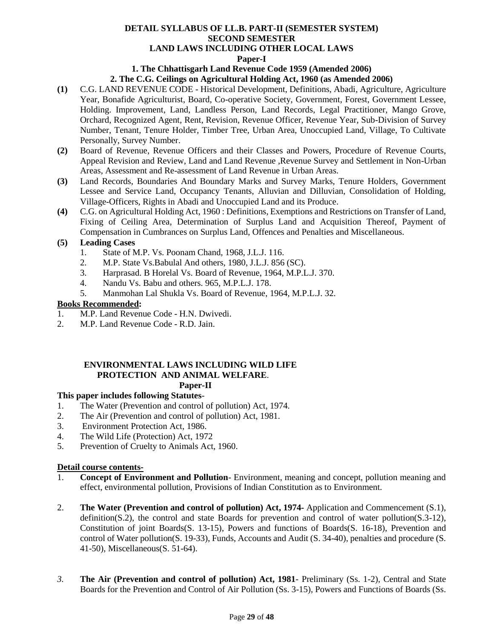### **DETAIL SYLLABUS OF LL.B. PART-II (SEMESTER SYSTEM) SECOND SEMESTER LAND LAWS INCLUDING OTHER LOCAL LAWS Paper-I**

#### **1. The Chhattisgarh Land Revenue Code 1959 (Amended 2006)**

#### **2. The C.G. Ceilings on Agricultural Holding Act, 1960 (as Amended 2006)**

- **(1)** C.G. LAND REVENUE CODE Historical Development, Definitions, Abadi, Agriculture, Agriculture Year, Bonafide Agriculturist, Board, Co-operative Society, Government, Forest, Government Lessee, Holding. Improvement, Land, Landless Person, Land Records, Legal Practitioner, Mango Grove, Orchard, Recognized Agent, Rent, Revision, Revenue Officer, Revenue Year, Sub-Division of Survey Number, Tenant, Tenure Holder, Timber Tree, Urban Area, Unoccupied Land, Village, To Cultivate Personally, Survey Number.
- **(2)** Board of Revenue, Revenue Officers and their Classes and Powers, Procedure of Revenue Courts, Appeal Revision and Review, Land and Land Revenue ,Revenue Survey and Settlement in Non-Urban Areas, Assessment and Re-assessment of Land Revenue in Urban Areas.
- **(3)** Land Records, Boundaries And Boundary Marks and Survey Marks, Tenure Holders, Government Lessee and Service Land, Occupancy Tenants, Alluvian and Dilluvian, Consolidation of Holding, Village-Officers, Rights in Abadi and Unoccupied Land and its Produce.
- **(4)** C.G. on Agricultural Holding Act, 1960 : Definitions, Exemptions and Restrictions on Transfer of Land, Fixing of Ceiling Area, Determination of Surplus Land and Acquisition Thereof, Payment of Compensation in Cumbrances on Surplus Land, Offences and Penalties and Miscellaneous.

#### **(5) Leading Cases**

- 1. State of M.P. Vs. Poonam Chand, 1968, J.L.J. 116.
- 2. M.P. State Vs.Babulal And others, 1980, J.L.J. 856 (SC).
- 3. Harprasad. B Horelal Vs. Board of Revenue, 1964, M.P.L.J. 370.
- 4. Nandu Vs. Babu and others. 965, M.P.L.J. 178.
- 5. Manmohan Lal Shukla Vs. Board of Revenue, 1964, M.P.L.J. 32.

#### **Books Recommended:**

- 1. M.P. Land Revenue Code H.N. Dwivedi.
- 2. M.P. Land Revenue Code R.D. Jain.

# **ENVIRONMENTAL LAWS INCLUDING WILD LIFE PROTECTION AND ANIMAL WELFARE**.

# **Paper-II**

# **This paper includes following Statutes**-

- 1. The Water (Prevention and control of pollution) Act, 1974.
- 2. The Air (Prevention and control of pollution) Act, 1981.
- 3. Environment Protection Act, 1986.
- 4. The Wild Life (Protection) Act, 1972
- 5. Prevention of Cruelty to Animals Act, 1960.

#### **Detail course contents-**

- 1. **Concept of Environment and Pollution***-* Environment, meaning and concept, pollution meaning and effect, environmental pollution, Provisions of Indian Constitution as to Environment.
- 2. **The Water (Prevention and control of pollution) Act, 1974-** Application and Commencement (S.1), definition(S.2), the control and state Boards for prevention and control of water pollution(S.3-12), Constitution of joint Boards(S. 13-15), Powers and functions of Boards(S. 16-18), Prevention and control of Water pollution(S. 19-33), Funds, Accounts and Audit (S. 34-40), penalties and procedure (S. 41-50), Miscellaneous(S. 51-64).
- *3.* **The Air (Prevention and control of pollution) Act, 1981***-* Preliminary (Ss. 1-2), Central and State Boards for the Prevention and Control of Air Pollution (Ss. 3-15), Powers and Functions of Boards (Ss.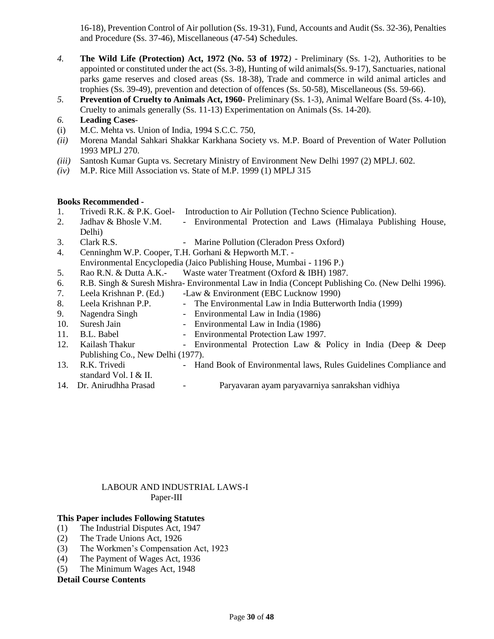16-18), Prevention Control of Air pollution (Ss. 19-31), Fund, Accounts and Audit (Ss. 32-36), Penalties and Procedure (Ss. 37-46), Miscellaneous (47-54) Schedules.

- *4.* **The Wild Life (Protection) Act, 1972 (No. 53 of 1972***) -* Preliminary (Ss. 1-2), Authorities to be appointed or constituted under the act (Ss. 3-8), Hunting of wild animals(Ss. 9-17), Sanctuaries, national parks game reserves and closed areas (Ss. 18-38), Trade and commerce in wild animal articles and trophies (Ss. 39-49), prevention and detection of offences (Ss. 50-58), Miscellaneous (Ss. 59-66).
- *5.* **Prevention of Cruelty to Animals Act, 1960***-* Preliminary (Ss. 1-3), Animal Welfare Board (Ss. 4-10), Cruelty to animals generally (Ss. 11-13) Experimentation on Animals (Ss. 14-20).
- *6.* **Leading Cases***-*
- (i) M.C. Mehta vs. Union of India, 1994 S.C.C. 750,
- *(ii)* Morena Mandal Sahkari Shakkar Karkhana Society vs. M.P. Board of Prevention of Water Pollution 1993 MPLJ 270.
- *(iii)* Santosh Kumar Gupta vs. Secretary Ministry of Environment New Delhi 1997 (2) MPLJ. 602.
- *(iv)* M.P. Rice Mill Association vs. State of M.P. 1999 (1) MPLJ 315

#### **Books Recommended -**

- 1. Trivedi R.K. & P.K. Goel- Introduction to Air Pollution (Techno Science Publication).
- 2. Jadhav & Bhosle V.M. Environmental Protection and Laws (Himalaya Publishing House, Delhi)
- 3. Clark R.S. Marine Pollution (Cleradon Press Oxford)
- 4. Cenninghm W.P. Cooper, T.H. Gorhani & Hepworth M.T. -
- Environmental Encyclopedia (Jaico Publishing House, Mumbai 1196 P.)
- 5. Rao R.N. & Dutta A.K.- Waste water Treatment (Oxford & IBH) 1987.
- 6. R.B. Singh & Suresh Mishra- Environmental Law in India (Concept Publishing Co. (New Delhi 1996).
- 7. Leela Krishnan P. (Ed.) -Law & Environment (EBC Lucknow 1990)
- 8. Leela Krishnan P.P. The Environmental Law in India Butterworth India (1999)
- 9. Nagendra Singh Environmental Law in India (1986)
- 10. Suresh Jain Environmental Law in India (1986)
- 11. B.L. Babel Environmental Protection Law 1997.
- 12. Kailash Thakur Environmental Protection Law & Policy in India (Deep & Deep Publishing Co., New Delhi (1977).
- 13. R.K. Trivedi Hand Book of Environmental laws, Rules Guidelines Compliance and standard Vol. I & II.
- 
- 14. Dr. Anirudhha Prasad Paryavaran ayam paryavarniya sanrakshan vidhiya

### LABOUR AND INDUSTRIAL LAWS-I Paper-III

#### **This Paper includes Following Statutes**

- (1) The Industrial Disputes Act, 1947
- (2) The Trade Unions Act, 1926
- (3) The Workmen's Compensation Act, 1923
- (4) The Payment of Wages Act, 1936
- (5) The Minimum Wages Act, 1948

#### **Detail Course Contents**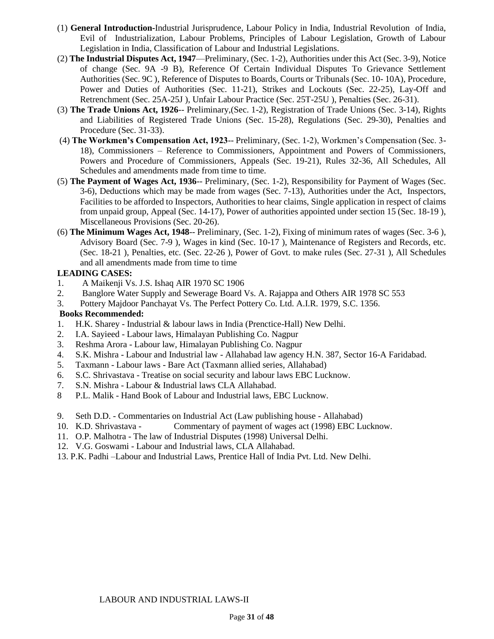- (1) **General Introduction-**Industrial Jurisprudence, Labour Policy in India, Industrial Revolution of India, Evil of Industrialization, Labour Problems, Principles of Labour Legislation, Growth of Labour Legislation in India, Classification of Labour and Industrial Legislations.
- (2) **The Industrial Disputes Act, 1947**—Preliminary, (Sec. 1-2), Authorities under this Act (Sec. 3-9), Notice of change (Sec. 9A -9 B), Reference Of Certain Individual Disputes To Grievance Settlement Authorities (Sec. 9C ), Reference of Disputes to Boards, Courts or Tribunals (Sec. 10- 10A), Procedure, Power and Duties of Authorities (Sec. 11-21), Strikes and Lockouts (Sec. 22-25), Lay-Off and Retrenchment (Sec. 25A-25J ), Unfair Labour Practice (Sec. 25T-25U ), Penalties (Sec. 26-31).
- (3) **The Trade Unions Act, 1926**-- Preliminary,(Sec. 1-2), Registration of Trade Unions (Sec. 3-14), Rights and Liabilities of Registered Trade Unions (Sec. 15-28), Regulations (Sec. 29-30), Penalties and Procedure (Sec. 31-33).
- (4) **The Workmen's Compensation Act, 1923**-- Preliminary, (Sec. 1-2), Workmen's Compensation (Sec. 3- 18), Commissioners – Reference to Commissioners, Appointment and Powers of Commissioners, Powers and Procedure of Commissioners, Appeals (Sec. 19-21), Rules 32-36, All Schedules, All Schedules and amendments made from time to time.
- (5) **The Payment of Wages Act, 1936**-- Preliminary, (Sec. 1-2), Responsibility for Payment of Wages (Sec. 3-6), Deductions which may be made from wages (Sec. 7-13), Authorities under the Act, Inspectors, Facilities to be afforded to Inspectors, Authorities to hear claims, Single application in respect of claims from unpaid group, Appeal (Sec. 14-17), Power of authorities appointed under section 15 (Sec. 18-19 ), Miscellaneous Provisions (Sec. 20-26).
- (6) **The Minimum Wages Act, 1948**-- Preliminary, (Sec. 1-2), Fixing of minimum rates of wages (Sec. 3-6 ), Advisory Board (Sec. 7-9 ), Wages in kind (Sec. 10-17 ), Maintenance of Registers and Records, etc. (Sec. 18-21 ), Penalties, etc. (Sec. 22-26 ), Power of Govt. to make rules (Sec. 27-31 ), All Schedules and all amendments made from time to time

## **LEADING CASES:**

- 1. A Maikenji Vs. J.S. Ishaq AIR 1970 SC 1906
- 2. Banglore Water Supply and Sewerage Board Vs. A. Rajappa and Others AIR 1978 SC 553
- 3. Pottery Majdoor Panchayat Vs. The Perfect Pottery Co. Ltd. A.I.R. 1979, S.C. 1356.

### **Books Recommended:**

- 1. H.K. Sharey Industrial & labour laws in India (Prenctice-Hall) New Delhi.
- 2. I.A. Sayieed Labour laws, Himalayan Publishing Co. Nagpur
- 3. Reshma Arora Labour law, Himalayan Publishing Co. Nagpur
- 4. S.K. Mishra Labour and Industrial law Allahabad law agency H.N. 387, Sector 16-A Faridabad.
- 5. Taxmann Labour laws Bare Act (Taxmann allied series, Allahabad)
- 6. S.C. Shrivastava Treatise on social security and labour laws EBC Lucknow.
- 7. S.N. Mishra Labour & Industrial laws CLA Allahabad.
- 8 P.L. Malik Hand Book of Labour and Industrial laws, EBC Lucknow.
- 9. Seth D.D. Commentaries on Industrial Act (Law publishing house Allahabad)
- 10. K.D. Shrivastava Commentary of payment of wages act (1998) EBC Lucknow.
- 11. O.P. Malhotra The law of Industrial Disputes (1998) Universal Delhi.
- 12. V.G. Goswami Labour and Industrial laws, CLA Allahabad.
- 13. P.K. Padhi –Labour and Industrial Laws, Prentice Hall of India Pvt. Ltd. New Delhi.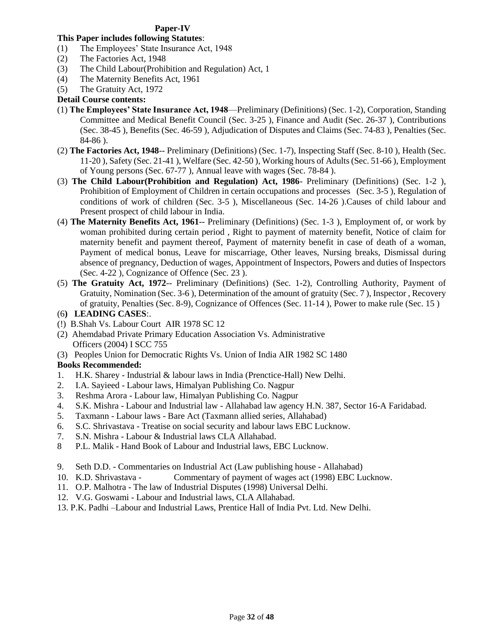## **Paper-IV**

# **This Paper includes following Statutes**:

- (1) The Employees' State Insurance Act, 1948
- (2) The Factories Act, 1948
- (3) The Child Labour(Prohibition and Regulation) Act, 1
- (4) The Maternity Benefits Act, 1961
- (5) The Gratuity Act, 1972

## **Detail Course contents:**

- (1) **The Employees' State Insurance Act, 1948**—Preliminary (Definitions) (Sec. 1-2), Corporation, Standing Committee and Medical Benefit Council (Sec. 3-25 ), Finance and Audit (Sec. 26-37 ), Contributions (Sec. 38-45 ), Benefits (Sec. 46-59 ), Adjudication of Disputes and Claims (Sec. 74-83 ), Penalties (Sec. 84-86 ).
- (2) **The Factories Act, 1948**-- Preliminary (Definitions) (Sec. 1-7), Inspecting Staff (Sec. 8-10 ), Health (Sec. 11-20 ), Safety (Sec. 21-41 ), Welfare (Sec. 42-50 ), Working hours of Adults (Sec. 51-66 ), Employment of Young persons (Sec. 67-77 ), Annual leave with wages (Sec. 78-84 ).
- (3) **The Child Labour(Prohibition and Regulation) Act, 1986** Preliminary (Definitions) (Sec. 1-2 ), Prohibition of Employment of Children in certain occupations and processes (Sec. 3-5 ), Regulation of conditions of work of children (Sec. 3-5 ), Miscellaneous (Sec. 14-26 ).Causes of child labour and Present prospect of child labour in India.
- (4) **The Maternity Benefits Act, 1961**-- Preliminary (Definitions) (Sec. 1-3 ), Employment of, or work by woman prohibited during certain period , Right to payment of maternity benefit, Notice of claim for maternity benefit and payment thereof, Payment of maternity benefit in case of death of a woman, Payment of medical bonus, Leave for miscarriage, Other leaves, Nursing breaks, Dismissal during absence of pregnancy, Deduction of wages, Appointment of Inspectors, Powers and duties of Inspectors (Sec. 4-22 ), Cognizance of Offence (Sec. 23 ).
- (5) **The Gratuity Act, 1972**-- Preliminary (Definitions) (Sec. 1-2), Controlling Authority, Payment of Gratuity, Nomination (Sec. 3-6 ), Determination of the amount of gratuity (Sec. 7 ), Inspector , Recovery of gratuity, Penalties (Sec. 8-9), Cognizance of Offences (Sec. 11-14 ), Power to make rule (Sec. 15 )
- (6**) LEADING CASES**:.
- (!) B.Shah Vs. Labour Court AIR 1978 SC 12
- (2) Ahemdabad Private Primary Education Association Vs. Administrative Officers (2004) I SCC 755
- (3) Peoples Union for Democratic Rights Vs. Union of India AIR 1982 SC 1480

## **Books Recommended:**

- 1. H.K. Sharey Industrial & labour laws in India (Prenctice-Hall) New Delhi.
- 2. I.A. Sayieed Labour laws, Himalyan Publishing Co. Nagpur
- 3. Reshma Arora Labour law, Himalyan Publishing Co. Nagpur
- 4. S.K. Mishra Labour and Industrial law Allahabad law agency H.N. 387, Sector 16-A Faridabad.
- 5. Taxmann Labour laws Bare Act (Taxmann allied series, Allahabad)
- 6. S.C. Shrivastava Treatise on social security and labour laws EBC Lucknow.
- 7. S.N. Mishra Labour & Industrial laws CLA Allahabad.
- 8 P.L. Malik Hand Book of Labour and Industrial laws, EBC Lucknow.
- 9. Seth D.D. Commentaries on Industrial Act (Law publishing house Allahabad)
- 10. K.D. Shrivastava Commentary of payment of wages act (1998) EBC Lucknow.
- 11. O.P. Malhotra The law of Industrial Disputes (1998) Universal Delhi.
- 12. V.G. Goswami Labour and Industrial laws, CLA Allahabad.
- 13. P.K. Padhi –Labour and Industrial Laws, Prentice Hall of India Pvt. Ltd. New Delhi.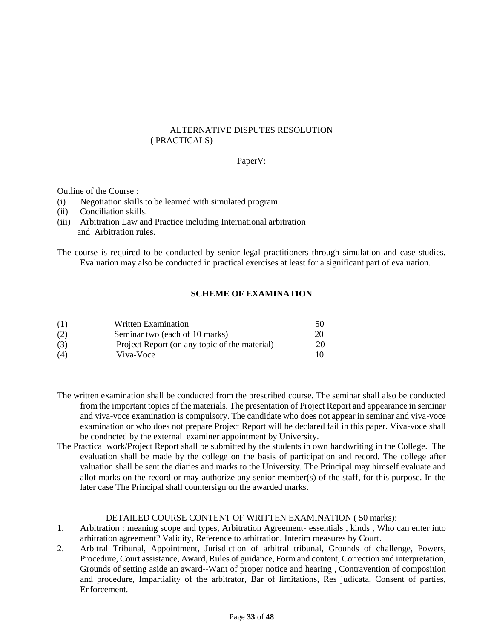#### ALTERNATIVE DISPUTES RESOLUTION ( PRACTICALS)

#### PaperV:

#### Outline of the Course :

- (i) Negotiation skills to be learned with simulated program.
- (ii) Conciliation skills.
- (iii) Arbitration Law and Practice including International arbitration and Arbitration rules.

The course is required to be conducted by senior legal practitioners through simulation and case studies. Evaluation may also be conducted in practical exercises at least for a significant part of evaluation.

### **SCHEME OF EXAMINATION**

| (1) | <b>Written Examination</b>                    | 50 |
|-----|-----------------------------------------------|----|
| (2) | Seminar two (each of 10 marks)                | 20 |
| (3) | Project Report (on any topic of the material) | 20 |
| (4) | Viva-Voce                                     | 10 |

- The written examination shall be conducted from the prescribed course. The seminar shall also be conducted from the important topics of the materials. The presentation of Project Report and appearance in seminar and viva-voce examination is compulsory. The candidate who does not appear in seminar and viva-voce examination or who does not prepare Project Report will be declared fail in this paper. Viva-voce shall be condncted by the external examiner appointment by University.
- The Practical work/Project Report shall be submitted by the students in own handwriting in the College. The evaluation shall be made by the college on the basis of participation and record. The college after valuation shall be sent the diaries and marks to the University. The Principal may himself evaluate and allot marks on the record or may authorize any senior member(s) of the staff, for this purpose. In the later case The Principal shall countersign on the awarded marks.

#### DETAILED COURSE CONTENT OF WRITTEN EXAMINATION ( 50 marks):

- 1. Arbitration : meaning scope and types, Arbitration Agreement- essentials , kinds , Who can enter into arbitration agreement? Validity, Reference to arbitration, Interim measures by Court.
- 2. Arbitral Tribunal, Appointment, Jurisdiction of arbitral tribunal, Grounds of challenge, Powers, Procedure, Court assistance, Award, Rules of guidance, Form and content, Correction and interpretation, Grounds of setting aside an award--Want of proper notice and hearing , Contravention of composition and procedure, Impartiality of the arbitrator, Bar of limitations, Res judicata, Consent of parties, Enforcement.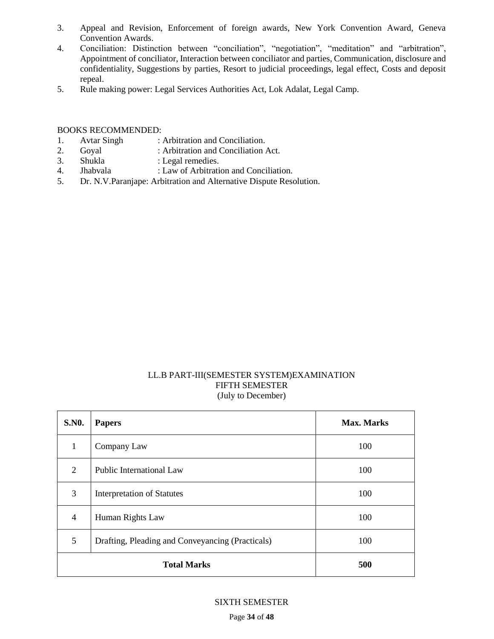- 3. Appeal and Revision, Enforcement of foreign awards, New York Convention Award, Geneva Convention Awards.
- 4. Conciliation: Distinction between "conciliation", "negotiation", "meditation" and "arbitration", Appointment of conciliator, Interaction between conciliator and parties, Communication, disclosure and confidentiality, Suggestions by parties, Resort to judicial proceedings, legal effect, Costs and deposit repeal.
- 5. Rule making power: Legal Services Authorities Act, Lok Adalat, Legal Camp.

### BOOKS RECOMMENDED:

- 1. Avtar Singh : Arbitration and Conciliation.
- 2. Goyal : Arbitration and Conciliation Act.
- 3. Shukla : Legal remedies.
- 4. Jhabvala : Law of Arbitration and Conciliation.
- 5. Dr. N.V.Paranjape: Arbitration and Alternative Dispute Resolution.

## LL.B PART-III(SEMESTER SYSTEM)EXAMINATION FIFTH SEMESTER (July to December)

| <b>S.NO.</b>   | <b>Papers</b>                                    | <b>Max. Marks</b> |
|----------------|--------------------------------------------------|-------------------|
| 1              | Company Law                                      | 100               |
| $\overline{2}$ | Public International Law                         | 100               |
| 3              | <b>Interpretation of Statutes</b>                | 100               |
| $\overline{4}$ | Human Rights Law                                 | 100               |
| 5              | Drafting, Pleading and Conveyancing (Practicals) | 100               |
|                | <b>Total Marks</b>                               | 500               |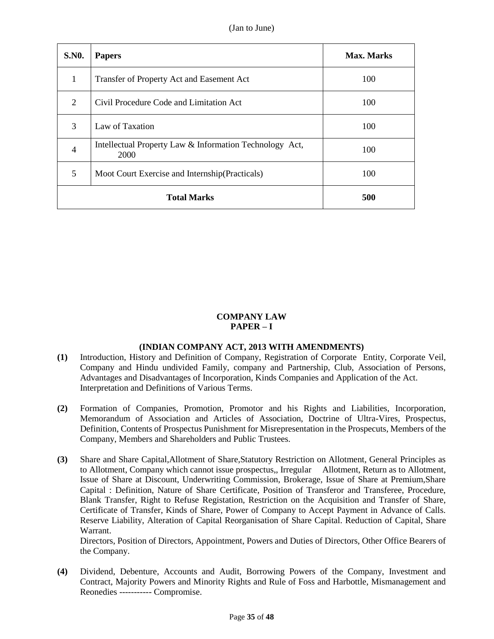| <b>S.NO.</b>       | <b>Papers</b>                                                   | Max. Marks |
|--------------------|-----------------------------------------------------------------|------------|
| 1                  | Transfer of Property Act and Easement Act                       | 100        |
| $\overline{2}$     | Civil Procedure Code and Limitation Act                         | 100        |
| 3                  | Law of Taxation                                                 | 100        |
| $\overline{4}$     | Intellectual Property Law & Information Technology Act,<br>2000 | 100        |
| 5                  | Moot Court Exercise and Internship (Practicals)                 | 100        |
| <b>Total Marks</b> |                                                                 | 500        |

## **COMPANY LAW PAPER – I**

## **(INDIAN COMPANY ACT, 2013 WITH AMENDMENTS)**

- **(1)** Introduction, History and Definition of Company, Registration of Corporate Entity, Corporate Veil, Company and Hindu undivided Family, company and Partnership, Club, Association of Persons, Advantages and Disadvantages of Incorporation, Kinds Companies and Application of the Act. Interpretation and Definitions of Various Terms.
- **(2)** Formation of Companies, Promotion, Promotor and his Rights and Liabilities, Incorporation, Memorandum of Association and Articles of Association, Doctrine of Ultra-Vires, Prospectus, Definition, Contents of Prospectus Punishment for Misrepresentation in the Prospecuts, Members of the Company, Members and Shareholders and Public Trustees.
- **(3)** Share and Share Capital,Allotment of Share,Statutory Restriction on Allotment, General Principles as to Allotment, Company which cannot issue prospectus,, Irregular Allotment, Return as to Allotment, Issue of Share at Discount, Underwriting Commission, Brokerage, Issue of Share at Premium,Share Capital : Definition, Nature of Share Certificate, Position of Transferor and Transferee, Procedure, Blank Transfer, Right to Refuse Registation, Restriction on the Acquisition and Transfer of Share, Certificate of Transfer, Kinds of Share, Power of Company to Accept Payment in Advance of Calls. Reserve Liability, Alteration of Capital Reorganisation of Share Capital. Reduction of Capital, Share Warrant.

Directors, Position of Directors, Appointment, Powers and Duties of Directors, Other Office Bearers of the Company.

**(4)** Dividend, Debenture, Accounts and Audit, Borrowing Powers of the Company, Investment and Contract, Majority Powers and Minority Rights and Rule of Foss and Harbottle, Mismanagement and Reonedies ----------- Compromise.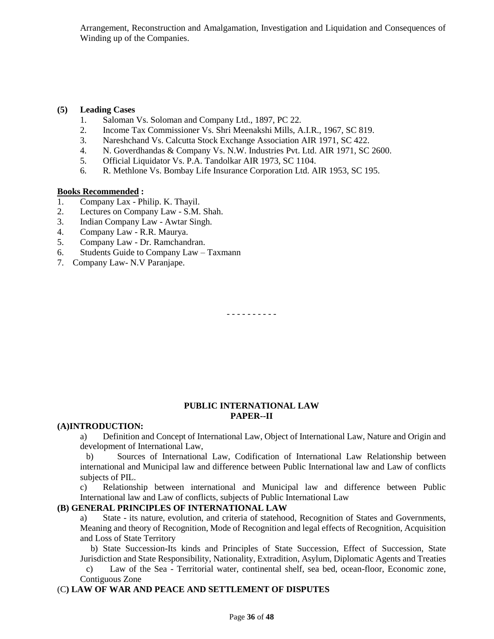Arrangement, Reconstruction and Amalgamation, Investigation and Liquidation and Consequences of Winding up of the Companies.

#### **(5) Leading Cases**

- 1. Saloman Vs. Soloman and Company Ltd., 1897, PC 22.
- 2. Income Tax Commissioner Vs. Shri Meenakshi Mills, A.I.R., 1967, SC 819.
- 3. Nareshchand Vs. Calcutta Stock Exchange Association AIR 1971, SC 422.
- 4. N. Goverdhandas & Company Vs. N.W. Industries Pvt. Ltd. AIR 1971, SC 2600.
- 5. Official Liquidator Vs. P.A. Tandolkar AIR 1973, SC 1104.
- 6. R. Methlone Vs. Bombay Life Insurance Corporation Ltd. AIR 1953, SC 195.

### **Books Recommended :**

- 1. Company Lax Philip. K. Thayil.
- 2. Lectures on Company Law S.M. Shah.
- 3. Indian Company Law Awtar Singh.
- 4. Company Law R.R. Maurya.
- 5. Company Law Dr. Ramchandran.
- 6. Students Guide to Company Law Taxmann
- 7. Company Law- N.V Paranjape.

- - - - - - - - - -

### **PUBLIC INTERNATIONAL LAW PAPER--II**

### **(A)INTRODUCTION:**

a) Definition and Concept of International Law, Object of International Law, Nature and Origin and development of International Law,

 b) Sources of International Law, Codification of International Law Relationship between international and Municipal law and difference between Public International law and Law of conflicts subjects of PIL.

c) Relationship between international and Municipal law and difference between Public International law and Law of conflicts, subjects of Public International Law

## **(B) GENERAL PRINCIPLES OF INTERNATIONAL LAW**

a) State - its nature, evolution, and criteria of statehood, Recognition of States and Governments, Meaning and theory of Recognition, Mode of Recognition and legal effects of Recognition, Acquisition and Loss of State Territory

 b) State Succession-Its kinds and Principles of State Succession, Effect of Succession, State Jurisdiction and State Responsibility, Nationality, Extradition, Asylum, Diplomatic Agents and Treaties

 c) Law of the Sea - Territorial water, continental shelf, sea bed, ocean-floor, Economic zone, Contiguous Zone

### (C**) LAW OF WAR AND PEACE AND SETTLEMENT OF DISPUTES**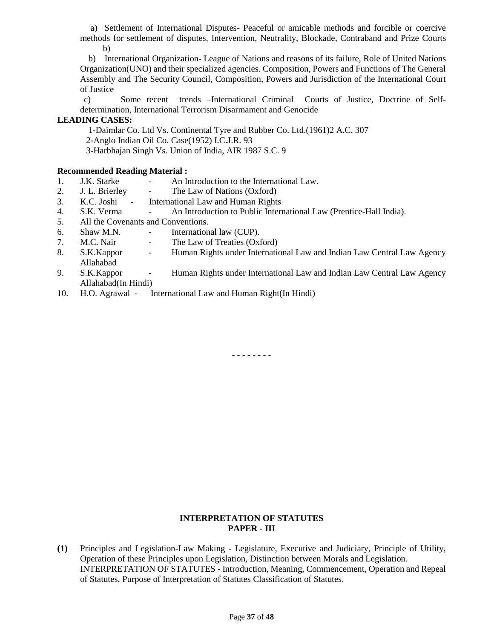a) Settlement of International Disputes- Peaceful or amicable methods and forcible or coercive methods for settlement of disputes, Intervention, Neutrality, Blockade, Contraband and Prize Courts b)

 b) International Organization- League of Nations and reasons of its failure, Role of United Nations Organization(UNO) and their specialized agencies. Composition, Powers and Functions of The General Assembly and The Security Council, Composition, Powers and Jurisdiction of the International Court of Justice

 c) Some recent trends –International Criminal Courts of Justice, Doctrine of Selfdetermination, International Terrorism Disarmament and Genocide

## **LEADING CASES:**

 1-Daimlar Co. Ltd Vs. Continental Tyre and Rubber Co. Ltd.(1961)2 A.C. 307 2-Anglo Indian Oil Co. Case(1952) I.C.J.R. 93

3-Harbhajan Singh Vs. Union of India, AIR 1987 S.C. 9

## **Recommended Reading Material :**

- 1. J.K. Starke An Introduction to the International Law.
- 2. J. L. Brierley The Law of Nations (Oxford)
- 3. K.C. Joshi International Law and Human Rights
- 4. S.K. Verma An Introduction to Public International Law (Prentice-Hall India).
- 5. All the Covenants and Conventions.
- 6. Shaw M.N. International law (CUP).
- 7. M.C. Nair The Law of Treaties (Oxford)
- 8. S.K.Kappor Human Rights under International Law and Indian Law Central Law Agency Allahabad
- 9. S.K.Kappor Human Rights under International Law and Indian Law Central Law Agency Allahabad(In Hindi)
- 10. H.O. Agrawal International Law and Human Right(In Hindi)

- - - - - - - -

## **INTERPRETATION OF STATUTES PAPER - III**

**(1)** Principles and Legislation-Law Making - Legislature, Executive and Judiciary, Principle of Utility, Operation of these Principles upon Legislation, Distinction between Morals and Legislation. INTERPRETATION OF STATUTES - Introduction, Meaning, Commencement, Operation and Repeal of Statutes, Purpose of Interpretation of Statutes Classification of Statutes.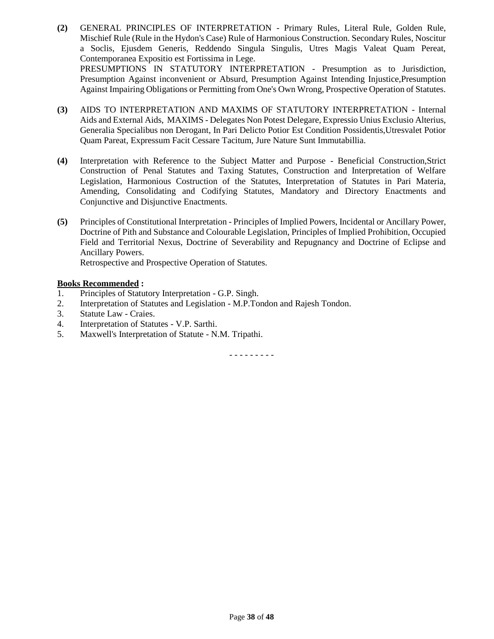**(2)** GENERAL PRINCIPLES OF INTERPRETATION - Primary Rules, Literal Rule, Golden Rule, Mischief Rule (Rule in the Hydon's Case) Rule of Harmonious Construction. Secondary Rules, Noscitur a Soclis, Ejusdem Generis, Reddendo Singula Singulis, Utres Magis Valeat Quam Pereat, Contemporanea Expositio est Fortissima in Lege. PRESUMPTIONS IN STATUTORY INTERPRETATION - Presumption as to Jurisdiction, Presumption Against inconvenient or Absurd, Presumption Against Intending Injustice,Presumption

Against Impairing Obligations or Permitting from One's Own Wrong, Prospective Operation of Statutes.

- **(3)** AIDS TO INTERPRETATION AND MAXIMS OF STATUTORY INTERPRETATION Internal Aids and External Aids, MAXIMS - Delegates Non Potest Delegare, Expressio Unius Exclusio Alterius, Generalia Specialibus non Derogant, In Pari Delicto Potior Est Condition Possidentis,Utresvalet Potior Quam Pareat, Expressum Facit Cessare Tacitum, Jure Nature Sunt Immutabillia.
- **(4)** Interpretation with Reference to the Subject Matter and Purpose Beneficial Construction,Strict Construction of Penal Statutes and Taxing Statutes, Construction and Interpretation of Welfare Legislation, Harmonious Costruction of the Statutes, Interpretation of Statutes in Pari Materia, Amending, Consolidating and Codifying Statutes, Mandatory and Directory Enactments and Conjunctive and Disjunctive Enactments.
- **(5)** Principles of Constitutional Interpretation Principles of Implied Powers, Incidental or Ancillary Power, Doctrine of Pith and Substance and Colourable Legislation, Principles of Implied Prohibition, Occupied Field and Territorial Nexus, Doctrine of Severability and Repugnancy and Doctrine of Eclipse and Ancillary Powers.

Retrospective and Prospective Operation of Statutes.

#### **Books Recommended :**

- 1. Principles of Statutory Interpretation G.P. Singh.
- 2. Interpretation of Statutes and Legislation M.P.Tondon and Rajesh Tondon.
- 3. Statute Law Craies.
- 4. Interpretation of Statutes V.P. Sarthi.
- 5. Maxwell's Interpretation of Statute N.M. Tripathi.

- - - - - - - - -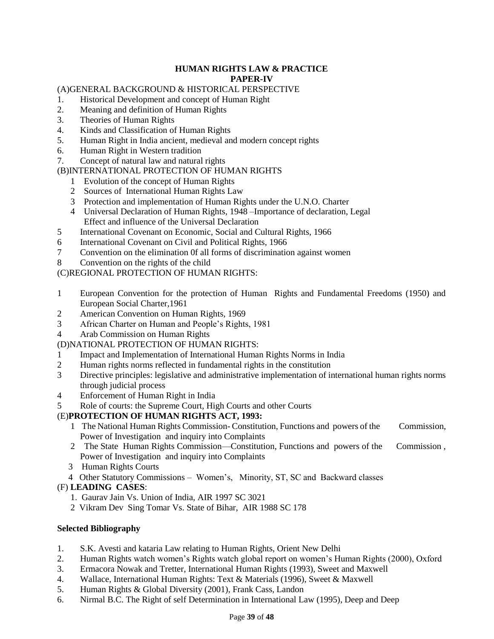## **HUMAN RIGHTS LAW & PRACTICE PAPER-IV**

# (A)GENERAL BACKGROUND & HISTORICAL PERSPECTIVE

- 1. Historical Development and concept of Human Right
- 2. Meaning and definition of Human Rights
- 3. Theories of Human Rights
- 4. Kinds and Classification of Human Rights
- 5. Human Right in India ancient, medieval and modern concept rights
- 6. Human Right in Western tradition
- 7. Concept of natural law and natural rights

# (B)INTERNATIONAL PROTECTION OF HUMAN RIGHTS

- 1 Evolution of the concept of Human Rights
- 2 Sources of International Human Rights Law
- 3 Protection and implementation of Human Rights under the U.N.O. Charter
- 4 Universal Declaration of Human Rights, 1948 –Importance of declaration, Legal Effect and influence of the Universal Declaration
- 5 International Covenant on Economic, Social and Cultural Rights, 1966
- 6 International Covenant on Civil and Political Rights, 1966
- 7 Convention on the elimination 0f all forms of discrimination against women
- 8 Convention on the rights of the child

# (C)REGIONAL PROTECTION OF HUMAN RIGHTS:

- 1 European Convention for the protection of Human Rights and Fundamental Freedoms (1950) and European Social Charter,1961
- 2 American Convention on Human Rights, 1969
- 3 African Charter on Human and People's Rights, 1981
- 4 Arab Commission on Human Rights

# (D)NATIONAL PROTECTION OF HUMAN RIGHTS:

- 1 Impact and Implementation of International Human Rights Norms in India
- 2 Human rights norms reflected in fundamental rights in the constitution
- 3 Directive principles: legislative and administrative implementation of international human rights norms through judicial process
- 4 Enforcement of Human Right in India
- 5 Role of courts: the Supreme Court, High Courts and other Courts

# (E)**PROTECTION OF HUMAN RIGHTS ACT, 1993:**

- 1 The National Human Rights Commission- Constitution, Functions and powers of the Commission, Power of Investigation and inquiry into Complaints
- 2 The State Human Rights Commission—Constitution, Functions and powers of the Commission , Power of Investigation and inquiry into Complaints
- 3 Human Rights Courts
- 4 Other Statutory Commissions Women's, Minority, ST, SC and Backward classes

# (F) **LEADING CASES**:

- 1. Gaurav Jain Vs. Union of India, AIR 1997 SC 3021
- 2 Vikram Dev Sing Tomar Vs. State of Bihar, AIR 1988 SC 178

## **Selected Bibliography**

- 1. S.K. Avesti and kataria Law relating to Human Rights, Orient New Delhi
- 2. Human Rights watch women's Rights watch global report on women's Human Rights (2000), Oxford
- 3. Ermacora Nowak and Tretter, International Human Rights (1993), Sweet and Maxwell
- 4. Wallace, International Human Rights: Text & Materials (1996), Sweet & Maxwell
- 5. Human Rights & Global Diversity (2001), Frank Cass, Landon
- 6. Nirmal B.C. The Right of self Determination in International Law (1995), Deep and Deep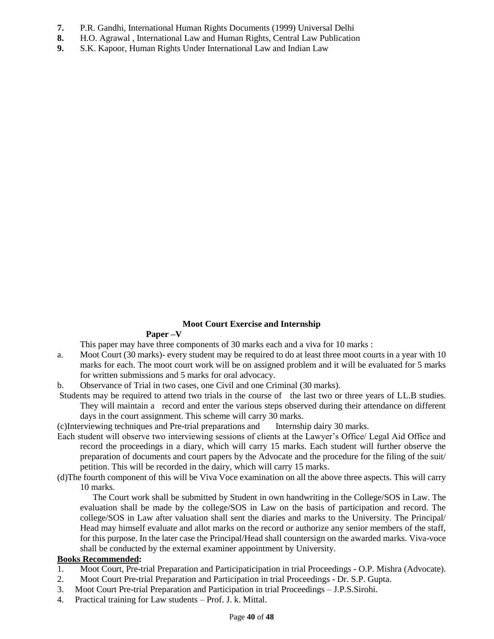- **7.** P.R. Gandhi, International Human Rights Documents (1999) Universal Delhi
- **8.** H.O. Agrawal , International Law and Human Rights, Central Law Publication
- **9.** S.K. Kapoor, Human Rights Under International Law and Indian Law

## **Moot Court Exercise and Internship**

## **Paper –V**

This paper may have three components of 30 marks each and a viva for 10 marks :

- a. Moot Court (30 marks)- every student may be required to do at least three moot courts in a year with 10 marks for each. The moot court work will be on assigned problem and it will be evaluated for 5 marks for written submissions and 5 marks for oral advocacy.
- b. Observance of Trial in two cases, one Civil and one Criminal (30 marks).
- Students may be required to attend two trials in the course of the last two or three years of LL.B studies. They will maintain a record and enter the various steps observed during their attendance on different days in the court assignment. This scheme will carry 30 marks.

(c)Interviewing techniques and Pre-trial preparations and Internship dairy 30 marks.

- Each student will observe two interviewing sessions of clients at the Lawyer's Office/ Legal Aid Office and record the proceedings in a diary, which will carry 15 marks. Each student will further observe the preparation of documents and court papers by the Advocate and the procedure for the filing of the suit/ petition. This will be recorded in the dairy, which will carry 15 marks.
- (d)The fourth component of this will be Viva Voce examination on all the above three aspects. This will carry 10 marks.

 The Court work shall be submitted by Student in own handwriting in the College/SOS in Law. The evaluation shall be made by the college/SOS in Law on the basis of participation and record. The college/SOS in Law after valuation shall sent the diaries and marks to the University. The Principal/ Head may himself evaluate and allot marks on the record or authorize any senior members of the staff, for this purpose. In the later case the Principal/Head shall countersign on the awarded marks. Viva-voce shall be conducted by the external examiner appointment by University.

## **Books Recommended:**

- 1. Moot Court, Pre-trial Preparation and Participaticipation in trial Proceedings O.P. Mishra (Advocate).
- 2. Moot Court Pre-trial Preparation and Participation in trial Proceedings Dr. S.P. Gupta.
- 3. Moot Court Pre-trial Preparation and Participation in trial Proceedings J.P.S.Sirohi.
- 4. Practical training for Law students Prof. J. k. Mittal.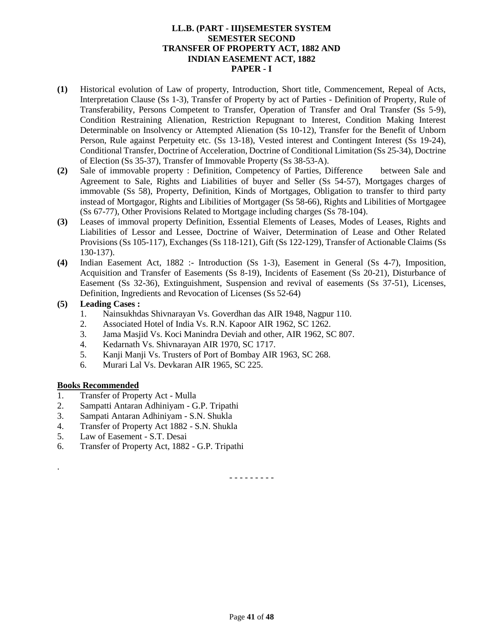## **LL.B. (PART - III)SEMESTER SYSTEM SEMESTER SECOND TRANSFER OF PROPERTY ACT, 1882 AND INDIAN EASEMENT ACT, 1882 PAPER - I**

- **(1)** Historical evolution of Law of property, Introduction, Short title, Commencement, Repeal of Acts, Interpretation Clause (Ss 1-3), Transfer of Property by act of Parties - Definition of Property, Rule of Transferability, Persons Competent to Transfer, Operation of Transfer and Oral Transfer (Ss 5-9), Condition Restraining Alienation, Restriction Repugnant to Interest, Condition Making Interest Determinable on Insolvency or Attempted Alienation (Ss 10-12), Transfer for the Benefit of Unborn Person, Rule against Perpetuity etc. (Ss 13-18), Vested interest and Contingent Interest (Ss 19-24), Conditional Transfer, Doctrine of Acceleration, Doctrine of Conditional Limitation (Ss 25-34), Doctrine of Election (Ss 35-37), Transfer of Immovable Property (Ss 38-53-A).
- **(2)** Sale of immovable property : Definition, Competency of Parties, Difference between Sale and Agreement to Sale, Rights and Liabilities of buyer and Seller (Ss 54-57), Mortgages charges of immovable (Ss 58), Property, Definition, Kinds of Mortgages, Obligation to transfer to third party instead of Mortgagor, Rights and Libilities of Mortgager (Ss 58-66), Rights and Libilities of Mortgagee (Ss 67-77), Other Provisions Related to Mortgage including charges (Ss 78-104).
- **(3)** Leases of immoval property Definition, Essential Elements of Leases, Modes of Leases, Rights and Liabilities of Lessor and Lessee, Doctrine of Waiver, Determination of Lease and Other Related Provisions (Ss 105-117), Exchanges (Ss 118-121), Gift (Ss 122-129), Transfer of Actionable Claims (Ss 130-137).
- **(4)** Indian Easement Act, 1882 :- Introduction (Ss 1-3), Easement in General (Ss 4-7), Imposition, Acquisition and Transfer of Easements (Ss 8-19), Incidents of Easement (Ss 20-21), Disturbance of Easement (Ss 32-36), Extinguishment, Suspension and revival of easements (Ss 37-51), Licenses, Definition, Ingredients and Revocation of Licenses (Ss 52-64)

### **(5) Leading Cases :**

- 1. Nainsukhdas Shivnarayan Vs. Goverdhan das AIR 1948, Nagpur 110.
- 2. Associated Hotel of India Vs. R.N. Kapoor AIR 1962, SC 1262.
- 3. Jama Masjid Vs. Koci Manindra Deviah and other, AIR 1962, SC 807.
- 4. Kedarnath Vs. Shivnarayan AIR 1970, SC 1717.
- 5. Kanji Manji Vs. Trusters of Port of Bombay AIR 1963, SC 268.
- 6. Murari Lal Vs. Devkaran AIR 1965, SC 225.

## **Books Recommended**

.

- 1. Transfer of Property Act Mulla
- 2. Sampatti Antaran Adhiniyam G.P. Tripathi
- 3. Sampati Antaran Adhiniyam S.N. Shukla
- 4. Transfer of Property Act 1882 S.N. Shukla
- 5. Law of Easement S.T. Desai
- 6. Transfer of Property Act, 1882 G.P. Tripathi

- - - - - - - - -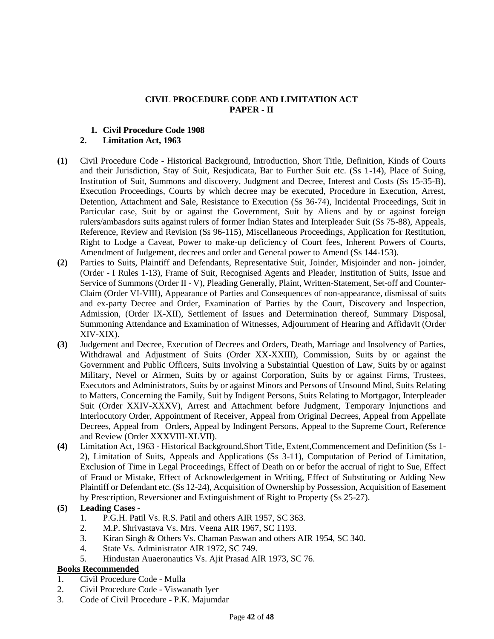## **CIVIL PROCEDURE CODE AND LIMITATION ACT PAPER - II**

## **1. Civil Procedure Code 1908**

## **2. Limitation Act, 1963**

- **(1)** Civil Procedure Code Historical Background, Introduction, Short Title, Definition, Kinds of Courts and their Jurisdiction, Stay of Suit, Resjudicata, Bar to Further Suit etc. (Ss 1-14), Place of Suing, Institution of Suit, Summons and discovery, Judgment and Decree, Interest and Costs (Ss 15-35-B), Execution Proceedings, Courts by which decree may be executed, Procedure in Execution, Arrest, Detention, Attachment and Sale, Resistance to Execution (Ss 36-74), Incidental Proceedings, Suit in Particular case, Suit by or against the Government, Suit by Aliens and by or against foreign rulers/ambasdors suits against rulers of former Indian States and Interpleader Suit (Ss 75-88), Appeals, Reference, Review and Revision (Ss 96-115), Miscellaneous Proceedings, Application for Restitution, Right to Lodge a Caveat, Power to make-up deficiency of Court fees, Inherent Powers of Courts, Amendment of Judgement, decrees and order and General power to Amend (Ss 144-153).
- **(2)** Parties to Suits, Plaintiff and Defendants, Representative Suit, Joinder, Misjoinder and non- joinder, (Order - I Rules 1-13), Frame of Suit, Recognised Agents and Pleader, Institution of Suits, Issue and Service of Summons (Order II - V), Pleading Generally, Plaint, Written-Statement, Set-off and Counter-Claim (Order VI-VIII), Appearance of Parties and Consequences of non-appearance, dismissal of suits and ex-party Decree and Order, Examination of Parties by the Court, Discovery and Inspection, Admission, (Order IX-XII), Settlement of Issues and Determination thereof, Summary Disposal, Summoning Attendance and Examination of Witnesses, Adjournment of Hearing and Affidavit (Order XIV-XIX).
- **(3)** Judgement and Decree, Execution of Decrees and Orders, Death, Marriage and Insolvency of Parties, Withdrawal and Adjustment of Suits (Order XX-XXIII), Commission, Suits by or against the Government and Public Officers, Suits Involving a Substaintial Question of Law, Suits by or against Military, Nevel or Airmen, Suits by or against Corporation, Suits by or against Firms, Trustees, Executors and Administrators, Suits by or against Minors and Persons of Unsound Mind, Suits Relating to Matters, Concerning the Family, Suit by Indigent Persons, Suits Relating to Mortgagor, Interpleader Suit (Order XXIV-XXXV), Arrest and Attachment before Judgment, Temporary Injunctions and Interlocutory Order, Appointment of Receiver, Appeal from Original Decrees, Appeal from Appellate Decrees, Appeal from Orders, Appeal by Indingent Persons, Appeal to the Supreme Court, Reference and Review (Order XXXVIII-XLVII).
- **(4)** Limitation Act, 1963 Historical Background,Short Title, Extent,Commencement and Definition (Ss 1- 2), Limitation of Suits, Appeals and Applications (Ss 3-11), Computation of Period of Limitation, Exclusion of Time in Legal Proceedings, Effect of Death on or befor the accrual of right to Sue, Effect of Fraud or Mistake, Effect of Acknowledgement in Writing, Effect of Substituting or Adding New Plaintiff or Defendant etc. (Ss 12-24), Acquisition of Ownership by Possession, Acquisition of Easement by Prescription, Reversioner and Extinguishment of Right to Property (Ss 25-27).

## **(5) Leading Cases -**

- 1. P.G.H. Patil Vs. R.S. Patil and others AIR 1957, SC 363.
- 2. M.P. Shrivastava Vs. Mrs. Veena AIR 1967, SC 1193.
- 3. Kiran Singh & Others Vs. Chaman Paswan and others AIR 1954, SC 340.
- 4. State Vs. Administrator AIR 1972, SC 749.
- 5. Hindustan Auaeronautics Vs. Ajit Prasad AIR 1973, SC 76.

### **Books Recommended**

- 1. Civil Procedure Code Mulla
- 2. Civil Procedure Code Viswanath Iyer
- 3. Code of Civil Procedure P.K. Majumdar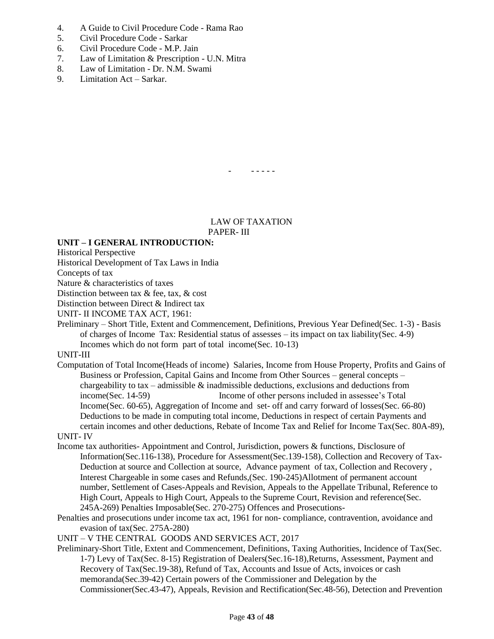- 4. A Guide to Civil Procedure Code Rama Rao
- 5. Civil Procedure Code Sarkar
- 6. Civil Procedure Code M.P. Jain
- 7. Law of Limitation & Prescription U.N. Mitra
- 8. Law of Limitation Dr. N.M. Swami
- 9. Limitation Act Sarkar.

- - - - - -

LAW OF TAXATION PAPER- III

## **UNIT – I GENERAL INTRODUCTION:**

Historical Perspective

Historical Development of Tax Laws in India

Concepts of tax

Nature & characteristics of taxes

Distinction between tax & fee, tax, & cost

Distinction between Direct & Indirect tax

UNIT- II INCOME TAX ACT, 1961:

Preliminary – Short Title, Extent and Commencement, Definitions, Previous Year Defined(Sec. 1-3) - Basis of charges of Income Tax: Residential status of assesses – its impact on tax liability(Sec. 4-9) Incomes which do not form part of total income(Sec. 10-13)

UNIT-III

Computation of Total Income(Heads of income) Salaries, Income from House Property, Profits and Gains of Business or Profession, Capital Gains and Income from Other Sources – general concepts – chargeability to tax – admissible  $\&$  inadmissible deductions, exclusions and deductions from income(Sec. 14-59) Income of other persons included in assessee's Total Income(Sec. 60-65), Aggregation of Income and set- off and carry forward of losses(Sec. 66-80) Deductions to be made in computing total income, Deductions in respect of certain Payments and certain incomes and other deductions, Rebate of Income Tax and Relief for Income Tax(Sec. 80A-89),

UNIT- IV

- Income tax authorities- Appointment and Control, Jurisdiction, powers & functions, Disclosure of Information(Sec.116-138), Procedure for Assessment(Sec.139-158), Collection and Recovery of Tax-Deduction at source and Collection at source, Advance payment of tax, Collection and Recovery , Interest Chargeable in some cases and Refunds,(Sec. 190-245)Allotment of permanent account number, Settlement of Cases-Appeals and Revision, Appeals to the Appellate Tribunal, Reference to High Court, Appeals to High Court, Appeals to the Supreme Court, Revision and reference(Sec. 245A-269) Penalties Imposable(Sec. 270-275) Offences and Prosecutions-
- Penalties and prosecutions under income tax act, 1961 for non- compliance, contravention, avoidance and evasion of tax(Sec. 275A-280)

UNIT – V THE CENTRAL GOODS AND SERVICES ACT, 2017

Preliminary-Short Title, Extent and Commencement, Definitions, Taxing Authorities, Incidence of Tax(Sec. 1-7) Levy of Tax(Sec. 8-15) Registration of Dealers(Sec.16-18),Returns, Assessment, Payment and Recovery of Tax(Sec.19-38), Refund of Tax, Accounts and Issue of Acts, invoices or cash memoranda(Sec.39-42) Certain powers of the Commissioner and Delegation by the Commissioner(Sec.43-47), Appeals, Revision and Rectification(Sec.48-56), Detection and Prevention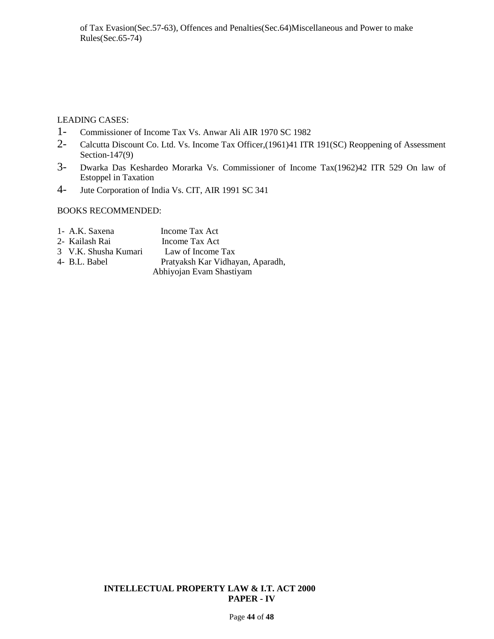## LEADING CASES:

- 1- Commissioner of Income Tax Vs. Anwar Ali AIR 1970 SC 1982
- 2- Calcutta Discount Co. Ltd. Vs. Income Tax Officer,(1961)41 ITR 191(SC) Reoppening of Assessment Section-147(9)
- 3- Dwarka Das Keshardeo Morarka Vs. Commissioner of Income Tax(1962)42 ITR 529 On law of Estoppel in Taxation
- 4- Jute Corporation of India Vs. CIT, AIR 1991 SC 341

# BOOKS RECOMMENDED:

| 1- A.K. Saxena       | Income Tax Act                   |
|----------------------|----------------------------------|
| 2- Kailash Rai       | Income Tax Act                   |
| 3 V.K. Shusha Kumari | Law of Income Tax                |
| 4- B.L. Babel        | Pratyaksh Kar Vidhayan, Aparadh, |
|                      | Abhiyojan Evam Shastiyam         |

## **INTELLECTUAL PROPERTY LAW & I.T. ACT 2000 PAPER - IV**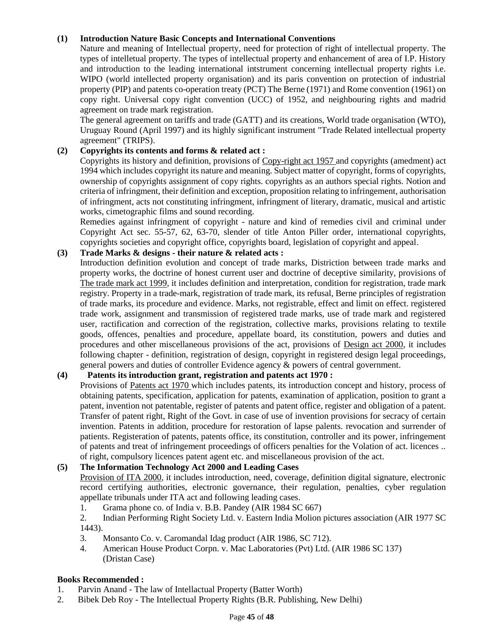## **(1) Introduction Nature Basic Concepts and International Conventions**

Nature and meaning of Intellectual property, need for protection of right of intellectual property. The types of intelletual property. The types of intellectual property and enhancement of area of I.P. History and introduction to the leading international intstrument concerning intellectual property rights i.e. WIPO (world intellected property organisation) and its paris convention on protection of industrial property (PIP) and patents co-operation treaty (PCT) The Berne (1971) and Rome convention (1961) on copy right. Universal copy right convention (UCC) of 1952, and neighbouring rights and madrid agreement on trade mark registration.

The general agreement on tariffs and trade (GATT) and its creations, World trade organisation (WTO), Uruguay Round (April 1997) and its highly significant instrument "Trade Related intellectual property agreement" (TRIPS).

## **(2) Copyrights its contents and forms & related act :**

Copyrights its history and definition, provisions of Copy-right act 1957 and copyrights (amedment) act 1994 which includes copyright its nature and meaning. Subject matter of copyright, forms of copyrights, ownership of copyrights assignment of copy rights. copyrights as an authors special rights. Notion and criteria of infringment, their definition and exception, proposition relating to infringement, authorisation of infringment, acts not constituting infringment, infringment of literary, dramatic, musical and artistic works, cimetographic films and sound recording.

Remedies against infringment of copyright - nature and kind of remedies civil and criminal under Copyright Act sec. 55-57, 62, 63-70, slender of title Anton Piller order, international copyrights, copyrights societies and copyright office, copyrights board, legislation of copyright and appeal.

# **(3) Trade Marks & designs - their nature & related acts :**

Introduction definition evolution and concept of trade marks, Distriction between trade marks and property works, the doctrine of honest current user and doctrine of deceptive similarity, provisions of The trade mark act 1999, it includes definition and interpretation, condition for registration, trade mark registry. Property in a trade-mark, registration of trade mark, its refusal, Berne principles of registration of trade marks, its procedure and evidence. Marks, not registrable, effect and limit on effect. registered trade work, assignment and transmission of registered trade marks, use of trade mark and registered user, ractification and correction of the registration, collective marks, provisions relating to textile goods, offences, penalties and procedure, appellate board, its constitution, powers and duties and procedures and other miscellaneous provisions of the act, provisions of Design act 2000, it includes following chapter - definition, registration of design, copyright in registered design legal proceedings, general powers and duties of controller Evidence agency & powers of central government.

### **(4) Patents its introduction grant, registration and patents act 1970 :**

Provisions of Patents act 1970 which includes patents, its introduction concept and history, process of obtaining patents, specification, application for patents, examination of application, position to grant a patent, invention not patentable, register of patents and patent office, register and obligation of a patent. Transfer of patent right, Right of the Govt. in case of use of invention provisions for secracy of certain invention. Patents in addition, procedure for restoration of lapse palents. revocation and surrender of patients. Registeration of patents, patents office, its constitution, controller and its power, infringement of patents and treat of infringement proceedings of officers penalties for the Volation of act. licences .. of right, compulsory licences patent agent etc. and miscellaneous provision of the act.

## **(5) The Information Technology Act 2000 and Leading Cases**

Provision of ITA 2000, it includes introduction, need, coverage, definition digital signature, electronic record certifying authorities, electronic governance, their regulation, penalties, cyber regulation appellate tribunals under ITA act and following leading cases.

1. Grama phone co. of India v. B.B. Pandey (AIR 1984 SC 667)

2. Indian Performing Right Society Ltd. v. Eastern India Molion pictures association (AIR 1977 SC 1443).

- 3. Monsanto Co. v. Caromandal Idag product (AIR 1986, SC 712).
- 4. American House Product Corpn. v. Mac Laboratories (Pvt) Ltd. (AIR 1986 SC 137) (Dristan Case)

### **Books Recommended :**

- 1. Parvin Anand The law of Intellactual Property (Batter Worth)
- 2. Bibek Deb Roy The Intellectual Property Rights (B.R. Publishing, New Delhi)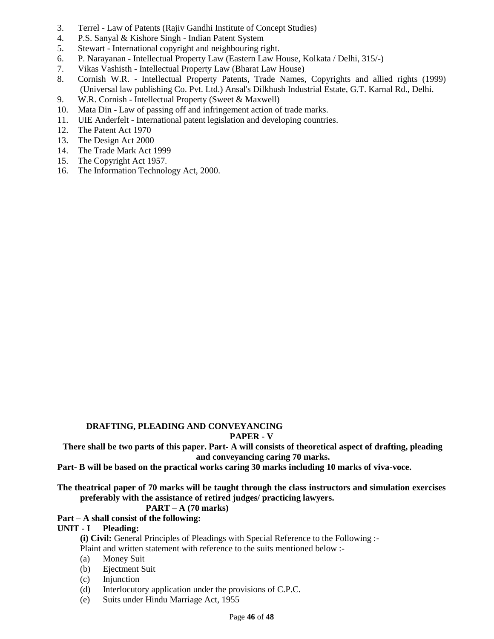- 3. Terrel Law of Patents (Rajiv Gandhi Institute of Concept Studies)
- 4. P.S. Sanyal & Kishore Singh Indian Patent System
- 5. Stewart International copyright and neighbouring right.
- 6. P. Narayanan Intellectual Property Law (Eastern Law House, Kolkata / Delhi, 315/-)
- 7. Vikas Vashisth Intellectual Property Law (Bharat Law House)
- 8. Cornish W.R. Intellectual Property Patents, Trade Names, Copyrights and allied rights (1999) (Universal law publishing Co. Pvt. Ltd.) Ansal's Dilkhush Industrial Estate, G.T. Karnal Rd., Delhi.
- 9. W.R. Cornish Intellectual Property (Sweet & Maxwell)
- 10. Mata Din Law of passing off and infringement action of trade marks.
- 11. UIE Anderfelt International patent legislation and developing countries.
- 12. The Patent Act 1970
- 13. The Design Act 2000
- 14. The Trade Mark Act 1999
- 15. The Copyright Act 1957.
- 16. The Information Technology Act, 2000.

## **DRAFTING, PLEADING AND CONVEYANCING**

#### **PAPER - V**

**There shall be two parts of this paper. Part- A will consists of theoretical aspect of drafting, pleading and conveyancing caring 70 marks.**

- **Part- B will be based on the practical works caring 30 marks including 10 marks of viva-voce.**
- **The theatrical paper of 70 marks will be taught through the class instructors and simulation exercises preferably with the assistance of retired judges/ practicing lawyers.**

## **PART – A (70 marks)**

**Part – A shall consist of the following:**

#### **UNIT - I Pleading:**

**(i) Civil:** General Principles of Pleadings with Special Reference to the Following :-

Plaint and written statement with reference to the suits mentioned below :-

- (a) Money Suit
- (b) Ejectment Suit
- (c) Injunction
- (d) Interlocutory application under the provisions of C.P.C.
- (e) Suits under Hindu Marriage Act, 1955